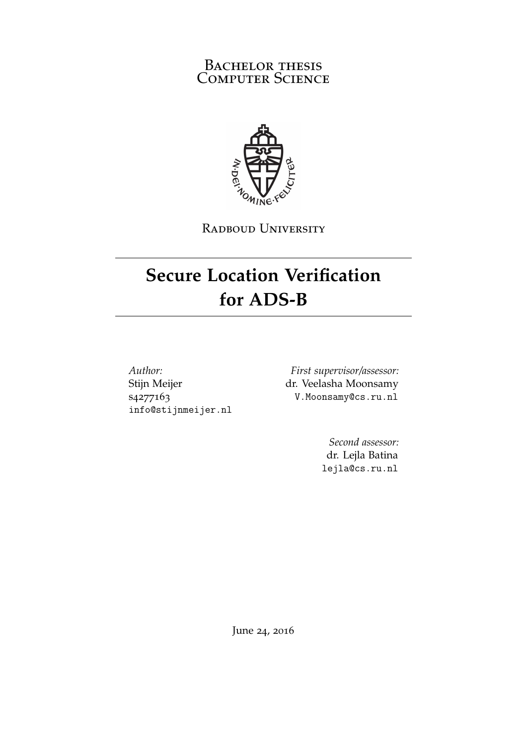#### BACHELOR THESIS COMPUTER SCIENCE



RADBOUD UNIVERSITY

### **Secure Location Verification for ADS-B**

*Author:* Stijn Meijer s4277163 info@stijnmeijer.nl

*First supervisor/assessor:* dr. Veelasha Moonsamy V.Moonsamy@cs.ru.nl

> *Second assessor:* dr. Lejla Batina lejla@cs.ru.nl

June 24, 2016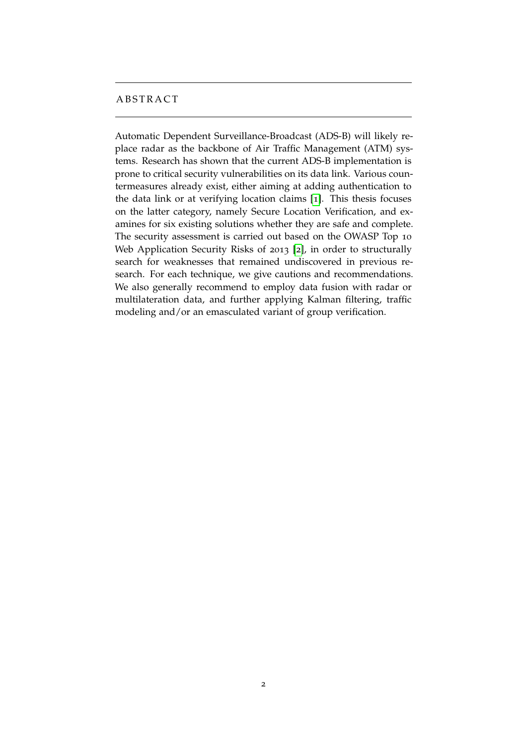#### **ABSTRACT**

Automatic Dependent Surveillance-Broadcast (ADS-B) will likely replace radar as the backbone of Air Traffic Management (ATM) systems. Research has shown that the current ADS-B implementation is prone to critical security vulnerabilities on its data link. Various countermeasures already exist, either aiming at adding authentication to the data link or at verifying location claims [[1](#page-34-0)]. This thesis focuses on the latter category, namely Secure Location Verification, and examines for six existing solutions whether they are safe and complete. The security assessment is carried out based on the OWASP Top 10 Web Application Security Risks of 2013 [[2](#page-34-1)], in order to structurally search for weaknesses that remained undiscovered in previous research. For each technique, we give cautions and recommendations. We also generally recommend to employ data fusion with radar or multilateration data, and further applying Kalman filtering, traffic modeling and/or an emasculated variant of group verification.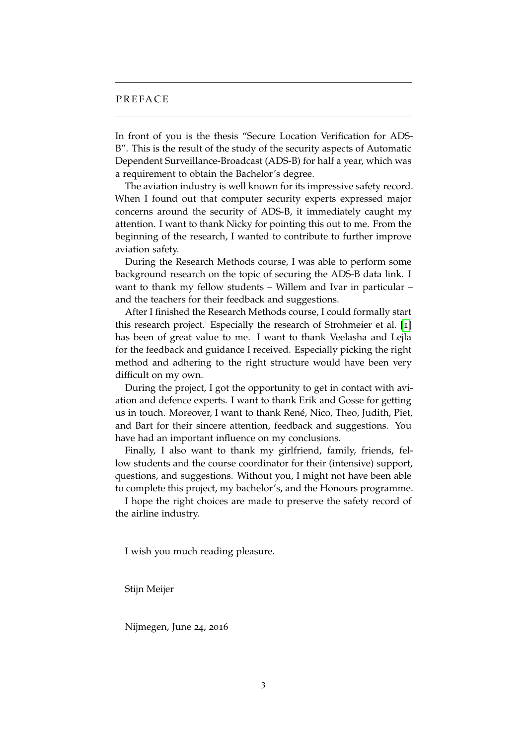#### **PREFACE**

In front of you is the thesis "Secure Location Verification for ADS-B". This is the result of the study of the security aspects of Automatic Dependent Surveillance-Broadcast (ADS-B) for half a year, which was a requirement to obtain the Bachelor's degree.

The aviation industry is well known for its impressive safety record. When I found out that computer security experts expressed major concerns around the security of ADS-B, it immediately caught my attention. I want to thank Nicky for pointing this out to me. From the beginning of the research, I wanted to contribute to further improve aviation safety.

During the Research Methods course, I was able to perform some background research on the topic of securing the ADS-B data link. I want to thank my fellow students – Willem and Ivar in particular – and the teachers for their feedback and suggestions.

After I finished the Research Methods course, I could formally start this research project. Especially the research of Strohmeier et al. [[1](#page-34-0)] has been of great value to me. I want to thank Veelasha and Lejla for the feedback and guidance I received. Especially picking the right method and adhering to the right structure would have been very difficult on my own.

During the project, I got the opportunity to get in contact with aviation and defence experts. I want to thank Erik and Gosse for getting us in touch. Moreover, I want to thank René, Nico, Theo, Judith, Piet, and Bart for their sincere attention, feedback and suggestions. You have had an important influence on my conclusions.

Finally, I also want to thank my girlfriend, family, friends, fellow students and the course coordinator for their (intensive) support, questions, and suggestions. Without you, I might not have been able to complete this project, my bachelor's, and the Honours programme.

I hope the right choices are made to preserve the safety record of the airline industry.

I wish you much reading pleasure.

Stijn Meijer

Nijmegen, June 24, 2016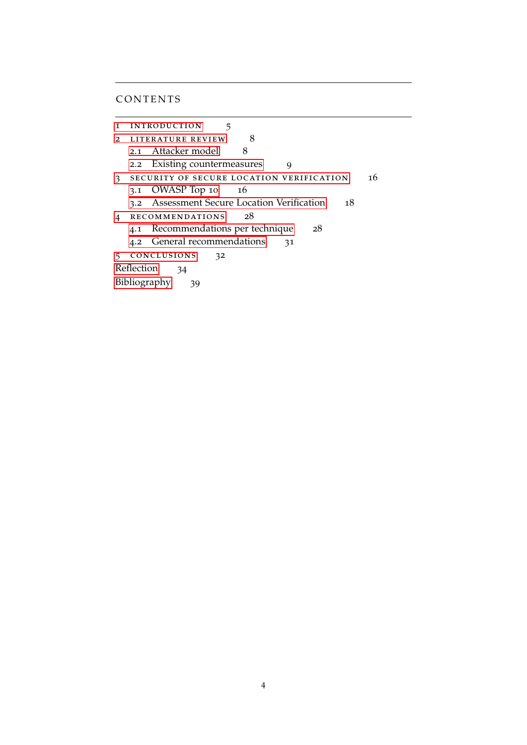#### **CONTENTS**

1 INTRODUCTION 5 2 LITERATURE REVIEW 8 2.1 [Attacker model](#page-7-1) 8 2.2 [Existing countermeasures](#page-8-0) 9 3 SECURITY OF SECURE LOCATION VERIFICATION 16 3.1 [OWASP Top](#page-15-1) 10 16 3.2 [Assessment Secure Location Verification](#page-16-0) 18 [4 recommendations](#page-27-0) 28 4.1 [Recommendations per technique](#page-27-1) 28 4.2 [General recommendations](#page-30-0) 31 [5 conclusions](#page-31-0) 32 [Reflection](#page-33-0) 34 [Bibliography](#page-34-2) 39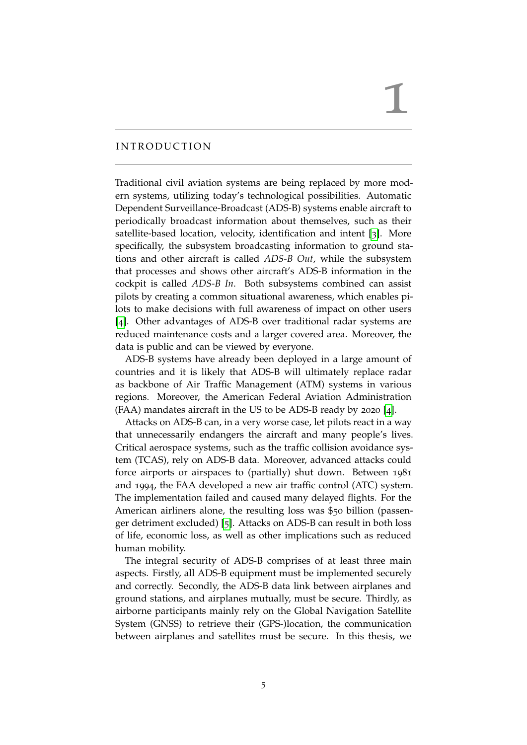### 1

#### <span id="page-4-0"></span>**INTRODUCTION**

Traditional civil aviation systems are being replaced by more modern systems, utilizing today's technological possibilities. Automatic Dependent Surveillance-Broadcast (ADS-B) systems enable aircraft to periodically broadcast information about themselves, such as their satellite-based location, velocity, identification and intent [[3](#page-34-3)]. More specifically, the subsystem broadcasting information to ground stations and other aircraft is called *ADS-B Out*, while the subsystem that processes and shows other aircraft's ADS-B information in the cockpit is called *ADS-B In*. Both subsystems combined can assist pilots by creating a common situational awareness, which enables pilots to make decisions with full awareness of impact on other users [[4](#page-34-4)]. Other advantages of ADS-B over traditional radar systems are reduced maintenance costs and a larger covered area. Moreover, the data is public and can be viewed by everyone.

ADS-B systems have already been deployed in a large amount of countries and it is likely that ADS-B will ultimately replace radar as backbone of Air Traffic Management (ATM) systems in various regions. Moreover, the American Federal Aviation Administration (FAA) mandates aircraft in the US to be ADS-B ready by 2020 [[4](#page-34-4)].

Attacks on ADS-B can, in a very worse case, let pilots react in a way that unnecessarily endangers the aircraft and many people's lives. Critical aerospace systems, such as the traffic collision avoidance system (TCAS), rely on ADS-B data. Moreover, advanced attacks could force airports or airspaces to (partially) shut down. Between 1981 and 1994, the FAA developed a new air traffic control (ATC) system. The implementation failed and caused many delayed flights. For the American airliners alone, the resulting loss was \$50 billion (passenger detriment excluded) [[5](#page-34-5)]. Attacks on ADS-B can result in both loss of life, economic loss, as well as other implications such as reduced human mobility.

The integral security of ADS-B comprises of at least three main aspects. Firstly, all ADS-B equipment must be implemented securely and correctly. Secondly, the ADS-B data link between airplanes and ground stations, and airplanes mutually, must be secure. Thirdly, as airborne participants mainly rely on the Global Navigation Satellite System (GNSS) to retrieve their (GPS-)location, the communication between airplanes and satellites must be secure. In this thesis, we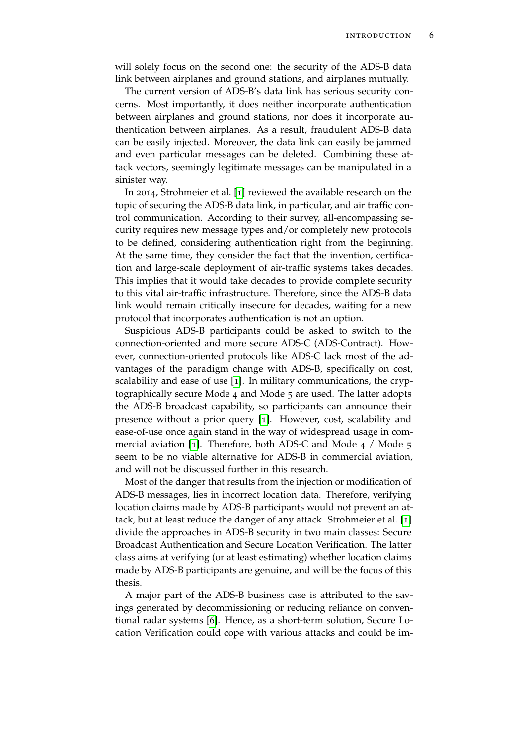will solely focus on the second one: the security of the ADS-B data link between airplanes and ground stations, and airplanes mutually.

The current version of ADS-B's data link has serious security concerns. Most importantly, it does neither incorporate authentication between airplanes and ground stations, nor does it incorporate authentication between airplanes. As a result, fraudulent ADS-B data can be easily injected. Moreover, the data link can easily be jammed and even particular messages can be deleted. Combining these attack vectors, seemingly legitimate messages can be manipulated in a sinister way.

In 2014, Strohmeier et al. [[1](#page-34-0)] reviewed the available research on the topic of securing the ADS-B data link, in particular, and air traffic control communication. According to their survey, all-encompassing security requires new message types and/or completely new protocols to be defined, considering authentication right from the beginning. At the same time, they consider the fact that the invention, certification and large-scale deployment of air-traffic systems takes decades. This implies that it would take decades to provide complete security to this vital air-traffic infrastructure. Therefore, since the ADS-B data link would remain critically insecure for decades, waiting for a new protocol that incorporates authentication is not an option.

Suspicious ADS-B participants could be asked to switch to the connection-oriented and more secure ADS-C (ADS-Contract). However, connection-oriented protocols like ADS-C lack most of the advantages of the paradigm change with ADS-B, specifically on cost, scalability and ease of use [[1](#page-34-0)]. In military communications, the cryptographically secure Mode 4 and Mode 5 are used. The latter adopts the ADS-B broadcast capability, so participants can announce their presence without a prior query [[1](#page-34-0)]. However, cost, scalability and ease-of-use once again stand in the way of widespread usage in commercial aviation [[1](#page-34-0)]. Therefore, both ADS-C and Mode 4 / Mode 5 seem to be no viable alternative for ADS-B in commercial aviation, and will not be discussed further in this research.

Most of the danger that results from the injection or modification of ADS-B messages, lies in incorrect location data. Therefore, verifying location claims made by ADS-B participants would not prevent an attack, but at least reduce the danger of any attack. Strohmeier et al. [[1](#page-34-0)] divide the approaches in ADS-B security in two main classes: Secure Broadcast Authentication and Secure Location Verification. The latter class aims at verifying (or at least estimating) whether location claims made by ADS-B participants are genuine, and will be the focus of this thesis.

A major part of the ADS-B business case is attributed to the savings generated by decommissioning or reducing reliance on conventional radar systems [[6](#page-34-6)]. Hence, as a short-term solution, Secure Location Verification could cope with various attacks and could be im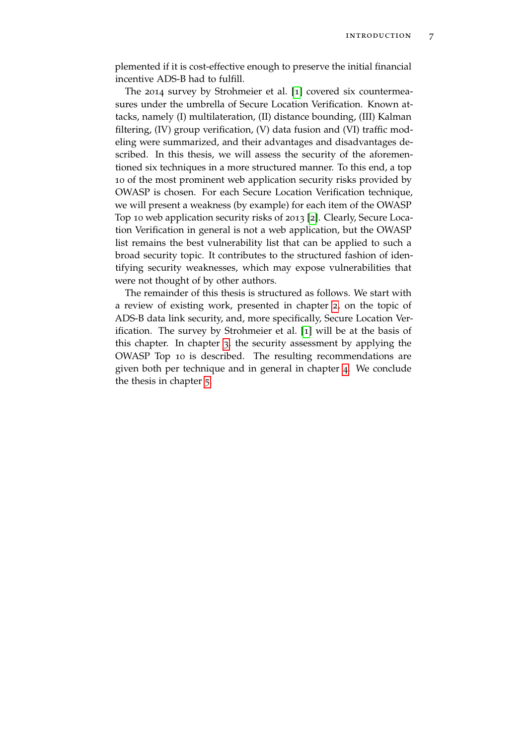plemented if it is cost-effective enough to preserve the initial financial incentive ADS-B had to fulfill.

The 2014 survey by Strohmeier et al. [[1](#page-34-0)] covered six countermeasures under the umbrella of Secure Location Verification. Known attacks, namely (I) multilateration, (II) distance bounding, (III) Kalman filtering, (IV) group verification, (V) data fusion and (VI) traffic modeling were summarized, and their advantages and disadvantages described. In this thesis, we will assess the security of the aforementioned six techniques in a more structured manner. To this end, a top 10 of the most prominent web application security risks provided by OWASP is chosen. For each Secure Location Verification technique, we will present a weakness (by example) for each item of the OWASP Top 10 web application security risks of 2013 [[2](#page-34-1)]. Clearly, Secure Location Verification in general is not a web application, but the OWASP list remains the best vulnerability list that can be applied to such a broad security topic. It contributes to the structured fashion of identifying security weaknesses, which may expose vulnerabilities that were not thought of by other authors.

The remainder of this thesis is structured as follows. We start with a review of existing work, presented in chapter [2](#page-7-0), on the topic of ADS-B data link security, and, more specifically, Secure Location Verification. The survey by Strohmeier et al. [[1](#page-34-0)] will be at the basis of this chapter. In chapter [3](#page-15-0), the security assessment by applying the OWASP Top 10 is described. The resulting recommendations are given both per technique and in general in chapter [4](#page-27-0). We conclude the thesis in chapter [5](#page-31-0).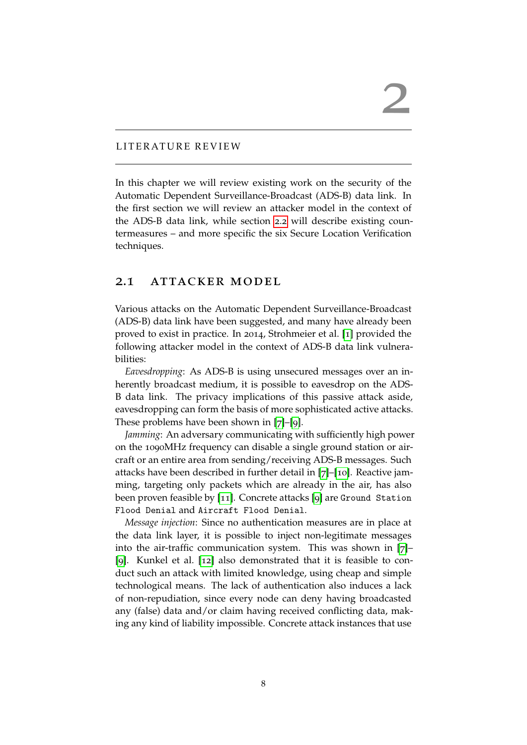#### <span id="page-7-0"></span>LITERATURE REVIEW

In this chapter we will review existing work on the security of the Automatic Dependent Surveillance-Broadcast (ADS-B) data link. In the first section we will review an attacker model in the context of the ADS-B data link, while section [2](#page-8-0).2 will describe existing countermeasures – and more specific the six Secure Location Verification techniques.

#### <span id="page-7-1"></span>2.1 attacker model

Various attacks on the Automatic Dependent Surveillance-Broadcast (ADS-B) data link have been suggested, and many have already been proved to exist in practice. In 2014, Strohmeier et al. [[1](#page-34-0)] provided the following attacker model in the context of ADS-B data link vulnerabilities:

*Eavesdropping*: As ADS-B is using unsecured messages over an inherently broadcast medium, it is possible to eavesdrop on the ADS-B data link. The privacy implications of this passive attack aside, eavesdropping can form the basis of more sophisticated active attacks. These problems have been shown in [[7](#page-34-7)]–[[9](#page-34-8)].

*Jamming*: An adversary communicating with sufficiently high power on the 1090MHz frequency can disable a single ground station or aircraft or an entire area from sending/receiving ADS-B messages. Such attacks have been described in further detail in [[7](#page-34-7)]–[[10](#page-34-9)]. Reactive jamming, targeting only packets which are already in the air, has also been proven feasible by [[11](#page-35-0)]. Concrete attacks [[9](#page-34-8)] are Ground Station Flood Denial and Aircraft Flood Denial.

*Message injection*: Since no authentication measures are in place at the data link layer, it is possible to inject non-legitimate messages into the air-traffic communication system. This was shown in [[7](#page-34-7)]– [[9](#page-34-8)]. Kunkel et al. [[12](#page-35-1)] also demonstrated that it is feasible to conduct such an attack with limited knowledge, using cheap and simple technological means. The lack of authentication also induces a lack of non-repudiation, since every node can deny having broadcasted any (false) data and/or claim having received conflicting data, making any kind of liability impossible. Concrete attack instances that use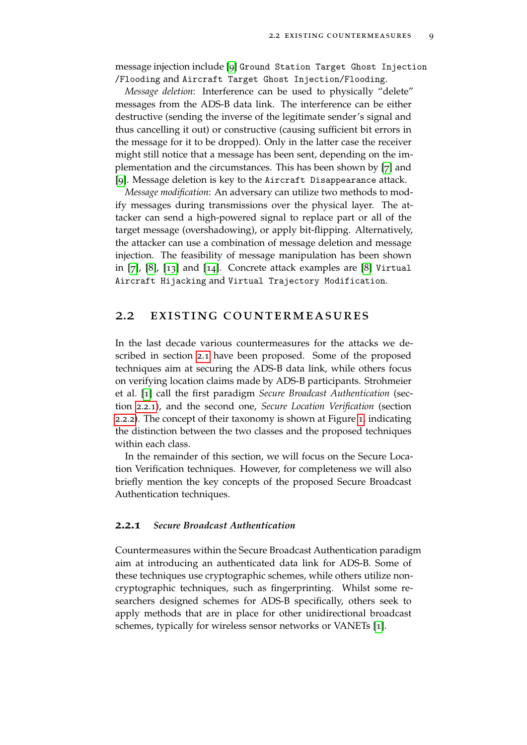message injection include [[9](#page-34-8)] Ground Station Target Ghost Injection /Flooding and Aircraft Target Ghost Injection/Flooding.

*Message deletion*: Interference can be used to physically "delete" messages from the ADS-B data link. The interference can be either destructive (sending the inverse of the legitimate sender's signal and thus cancelling it out) or constructive (causing sufficient bit errors in the message for it to be dropped). Only in the latter case the receiver might still notice that a message has been sent, depending on the implementation and the circumstances. This has been shown by [[7](#page-34-7)] and [[9](#page-34-8)]. Message deletion is key to the Aircraft Disappearance attack.

*Message modification*: An adversary can utilize two methods to modify messages during transmissions over the physical layer. The attacker can send a high-powered signal to replace part or all of the target message (overshadowing), or apply bit-flipping. Alternatively, the attacker can use a combination of message deletion and message injection. The feasibility of message manipulation has been shown in [[7](#page-34-7)], [[8](#page-34-10)], [[13](#page-35-2)] and [[14](#page-35-3)]. Concrete attack examples are [[8](#page-34-10)] Virtual Aircraft Hijacking and Virtual Trajectory Modification.

#### <span id="page-8-0"></span>2.2 existing countermeasures

In the last decade various countermeasures for the attacks we described in section [2](#page-7-1).1 have been proposed. Some of the proposed techniques aim at securing the ADS-B data link, while others focus on verifying location claims made by ADS-B participants. Strohmeier et al. [[1](#page-34-0)] call the first paradigm *Secure Broadcast Authentication* (section [2](#page-8-1).2.1), and the second one, *Secure Location Verification* (section [2](#page-10-0).2.2). The concept of their taxonomy is shown at Figure [1](#page-9-0), indicating the distinction between the two classes and the proposed techniques within each class.

In the remainder of this section, we will focus on the Secure Location Verification techniques. However, for completeness we will also briefly mention the key concepts of the proposed Secure Broadcast Authentication techniques.

#### <span id="page-8-1"></span>**2.2.1** *Secure Broadcast Authentication*

Countermeasures within the Secure Broadcast Authentication paradigm aim at introducing an authenticated data link for ADS-B. Some of these techniques use cryptographic schemes, while others utilize noncryptographic techniques, such as fingerprinting. Whilst some researchers designed schemes for ADS-B specifically, others seek to apply methods that are in place for other unidirectional broadcast schemes, typically for wireless sensor networks or VANETs [[1](#page-34-0)].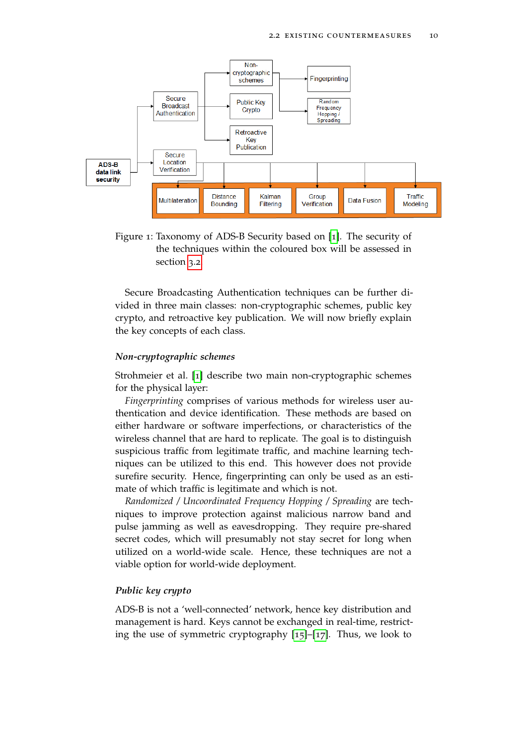

<span id="page-9-0"></span>Figure 1: Taxonomy of ADS-B Security based on [[1](#page-34-0)]. The security of the techniques within the coloured box will be assessed in section [3](#page-16-0).2.

Secure Broadcasting Authentication techniques can be further divided in three main classes: non-cryptographic schemes, public key crypto, and retroactive key publication. We will now briefly explain the key concepts of each class.

#### *Non-cryptographic schemes*

Strohmeier et al. [[1](#page-34-0)] describe two main non-cryptographic schemes for the physical layer:

*Fingerprinting* comprises of various methods for wireless user authentication and device identification. These methods are based on either hardware or software imperfections, or characteristics of the wireless channel that are hard to replicate. The goal is to distinguish suspicious traffic from legitimate traffic, and machine learning techniques can be utilized to this end. This however does not provide surefire security. Hence, fingerprinting can only be used as an estimate of which traffic is legitimate and which is not.

*Randomized / Uncoordinated Frequency Hopping / Spreading* are techniques to improve protection against malicious narrow band and pulse jamming as well as eavesdropping. They require pre-shared secret codes, which will presumably not stay secret for long when utilized on a world-wide scale. Hence, these techniques are not a viable option for world-wide deployment.

#### *Public key crypto*

ADS-B is not a 'well-connected' network, hence key distribution and management is hard. Keys cannot be exchanged in real-time, restricting the use of symmetric cryptography [[15](#page-35-4)]–[[17](#page-35-5)]. Thus, we look to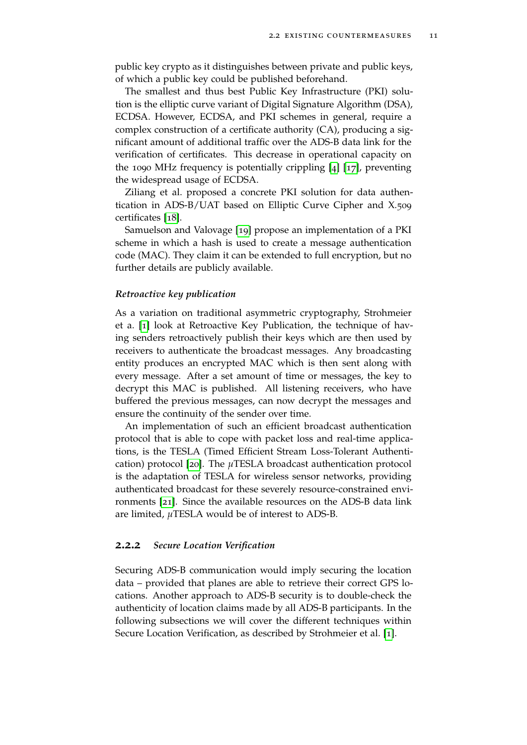public key crypto as it distinguishes between private and public keys, of which a public key could be published beforehand.

The smallest and thus best Public Key Infrastructure (PKI) solution is the elliptic curve variant of Digital Signature Algorithm (DSA), ECDSA. However, ECDSA, and PKI schemes in general, require a complex construction of a certificate authority (CA), producing a significant amount of additional traffic over the ADS-B data link for the verification of certificates. This decrease in operational capacity on the 1090 MHz frequency is potentially crippling [[4](#page-34-4)] [[17](#page-35-5)], preventing the widespread usage of ECDSA.

Ziliang et al. proposed a concrete PKI solution for data authentication in ADS-B/UAT based on Elliptic Curve Cipher and X.509 certificates [[18](#page-35-6)].

Samuelson and Valovage [[19](#page-35-7)] propose an implementation of a PKI scheme in which a hash is used to create a message authentication code (MAC). They claim it can be extended to full encryption, but no further details are publicly available.

#### *Retroactive key publication*

As a variation on traditional asymmetric cryptography, Strohmeier et a. [[1](#page-34-0)] look at Retroactive Key Publication, the technique of having senders retroactively publish their keys which are then used by receivers to authenticate the broadcast messages. Any broadcasting entity produces an encrypted MAC which is then sent along with every message. After a set amount of time or messages, the key to decrypt this MAC is published. All listening receivers, who have buffered the previous messages, can now decrypt the messages and ensure the continuity of the sender over time.

An implementation of such an efficient broadcast authentication protocol that is able to cope with packet loss and real-time applications, is the TESLA (Timed Efficient Stream Loss-Tolerant Authentication) protocol [[20](#page-35-8)]. The *µ*TESLA broadcast authentication protocol is the adaptation of TESLA for wireless sensor networks, providing authenticated broadcast for these severely resource-constrained environments [[21](#page-35-9)]. Since the available resources on the ADS-B data link are limited, *µ*TESLA would be of interest to ADS-B.

#### <span id="page-10-0"></span>**2.2.2** *Secure Location Verification*

Securing ADS-B communication would imply securing the location data – provided that planes are able to retrieve their correct GPS locations. Another approach to ADS-B security is to double-check the authenticity of location claims made by all ADS-B participants. In the following subsections we will cover the different techniques within Secure Location Verification, as described by Strohmeier et al. [[1](#page-34-0)].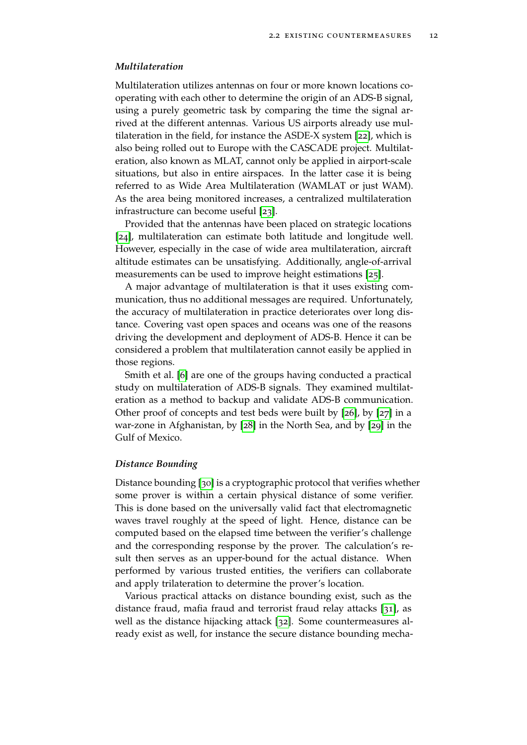#### *Multilateration*

Multilateration utilizes antennas on four or more known locations cooperating with each other to determine the origin of an ADS-B signal, using a purely geometric task by comparing the time the signal arrived at the different antennas. Various US airports already use multilateration in the field, for instance the ASDE-X system [[22](#page-35-10)], which is also being rolled out to Europe with the CASCADE project. Multilateration, also known as MLAT, cannot only be applied in airport-scale situations, but also in entire airspaces. In the latter case it is being referred to as Wide Area Multilateration (WAMLAT or just WAM). As the area being monitored increases, a centralized multilateration infrastructure can become useful [[23](#page-36-0)].

Provided that the antennas have been placed on strategic locations [[24](#page-36-1)], multilateration can estimate both latitude and longitude well. However, especially in the case of wide area multilateration, aircraft altitude estimates can be unsatisfying. Additionally, angle-of-arrival measurements can be used to improve height estimations [[25](#page-36-2)].

A major advantage of multilateration is that it uses existing communication, thus no additional messages are required. Unfortunately, the accuracy of multilateration in practice deteriorates over long distance. Covering vast open spaces and oceans was one of the reasons driving the development and deployment of ADS-B. Hence it can be considered a problem that multilateration cannot easily be applied in those regions.

Smith et al. [[6](#page-34-6)] are one of the groups having conducted a practical study on multilateration of ADS-B signals. They examined multilateration as a method to backup and validate ADS-B communication. Other proof of concepts and test beds were built by [[26](#page-36-3)], by [[27](#page-36-4)] in a war-zone in Afghanistan, by [[28](#page-36-5)] in the North Sea, and by [[29](#page-36-6)] in the Gulf of Mexico.

#### *Distance Bounding*

Distance bounding [[30](#page-36-7)] is a cryptographic protocol that verifies whether some prover is within a certain physical distance of some verifier. This is done based on the universally valid fact that electromagnetic waves travel roughly at the speed of light. Hence, distance can be computed based on the elapsed time between the verifier's challenge and the corresponding response by the prover. The calculation's result then serves as an upper-bound for the actual distance. When performed by various trusted entities, the verifiers can collaborate and apply trilateration to determine the prover's location.

Various practical attacks on distance bounding exist, such as the distance fraud, mafia fraud and terrorist fraud relay attacks [[31](#page-36-8)], as well as the distance hijacking attack [[32](#page-36-9)]. Some countermeasures already exist as well, for instance the secure distance bounding mecha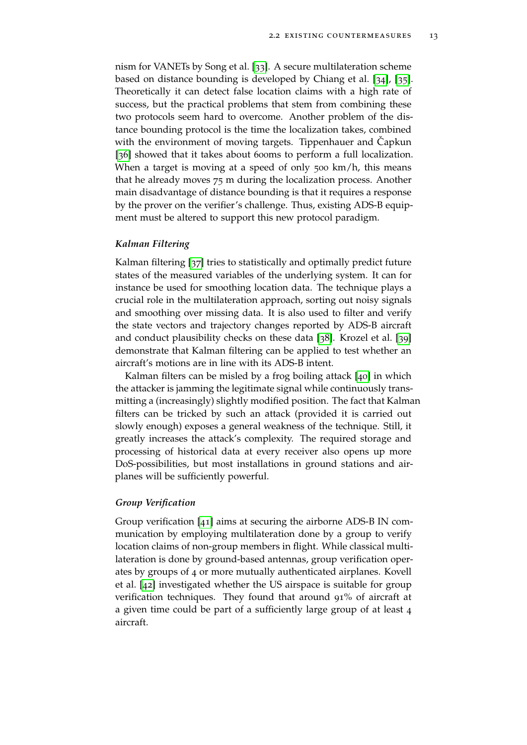nism for VANETs by Song et al. [[33](#page-36-10)]. A secure multilateration scheme based on distance bounding is developed by Chiang et al. [[34](#page-37-0)], [[35](#page-37-1)]. Theoretically it can detect false location claims with a high rate of success, but the practical problems that stem from combining these two protocols seem hard to overcome. Another problem of the distance bounding protocol is the time the localization takes, combined with the environment of moving targets. Tippenhauer and Capkun [[36](#page-37-2)] showed that it takes about 600ms to perform a full localization. When a target is moving at a speed of only 500 km/h, this means that he already moves 75 m during the localization process. Another main disadvantage of distance bounding is that it requires a response by the prover on the verifier's challenge. Thus, existing ADS-B equipment must be altered to support this new protocol paradigm.

#### *Kalman Filtering*

Kalman filtering [[37](#page-37-3)] tries to statistically and optimally predict future states of the measured variables of the underlying system. It can for instance be used for smoothing location data. The technique plays a crucial role in the multilateration approach, sorting out noisy signals and smoothing over missing data. It is also used to filter and verify the state vectors and trajectory changes reported by ADS-B aircraft and conduct plausibility checks on these data [[38](#page-37-4)]. Krozel et al. [[39](#page-37-5)] demonstrate that Kalman filtering can be applied to test whether an aircraft's motions are in line with its ADS-B intent.

Kalman filters can be misled by a frog boiling attack [[40](#page-37-6)] in which the attacker is jamming the legitimate signal while continuously transmitting a (increasingly) slightly modified position. The fact that Kalman filters can be tricked by such an attack (provided it is carried out slowly enough) exposes a general weakness of the technique. Still, it greatly increases the attack's complexity. The required storage and processing of historical data at every receiver also opens up more DoS-possibilities, but most installations in ground stations and airplanes will be sufficiently powerful.

#### *Group Verification*

Group verification [[41](#page-37-7)] aims at securing the airborne ADS-B IN communication by employing multilateration done by a group to verify location claims of non-group members in flight. While classical multilateration is done by ground-based antennas, group verification operates by groups of 4 or more mutually authenticated airplanes. Kovell et al. [[42](#page-37-8)] investigated whether the US airspace is suitable for group verification techniques. They found that around 91% of aircraft at a given time could be part of a sufficiently large group of at least 4 aircraft.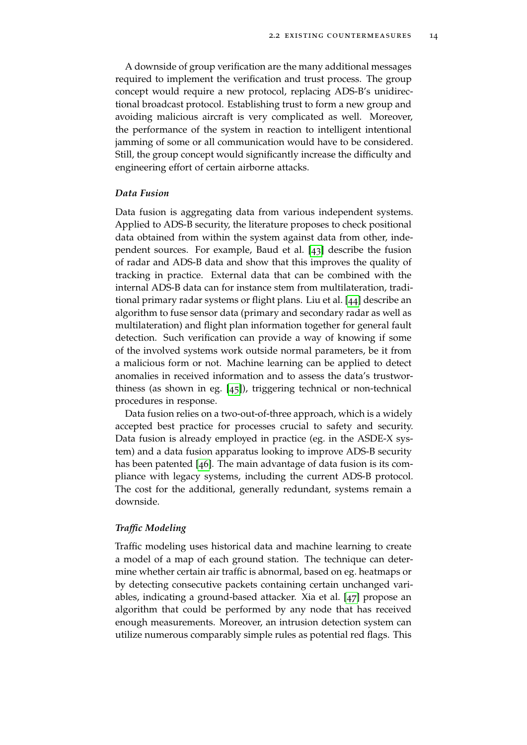A downside of group verification are the many additional messages required to implement the verification and trust process. The group concept would require a new protocol, replacing ADS-B's unidirectional broadcast protocol. Establishing trust to form a new group and avoiding malicious aircraft is very complicated as well. Moreover, the performance of the system in reaction to intelligent intentional jamming of some or all communication would have to be considered. Still, the group concept would significantly increase the difficulty and engineering effort of certain airborne attacks.

#### *Data Fusion*

Data fusion is aggregating data from various independent systems. Applied to ADS-B security, the literature proposes to check positional data obtained from within the system against data from other, independent sources. For example, Baud et al. [[43](#page-37-9)] describe the fusion of radar and ADS-B data and show that this improves the quality of tracking in practice. External data that can be combined with the internal ADS-B data can for instance stem from multilateration, traditional primary radar systems or flight plans. Liu et al. [[44](#page-37-10)] describe an algorithm to fuse sensor data (primary and secondary radar as well as multilateration) and flight plan information together for general fault detection. Such verification can provide a way of knowing if some of the involved systems work outside normal parameters, be it from a malicious form or not. Machine learning can be applied to detect anomalies in received information and to assess the data's trustworthiness (as shown in eg. [[45](#page-37-11)]), triggering technical or non-technical procedures in response.

Data fusion relies on a two-out-of-three approach, which is a widely accepted best practice for processes crucial to safety and security. Data fusion is already employed in practice (eg. in the ASDE-X system) and a data fusion apparatus looking to improve ADS-B security has been patented [[46](#page-38-0)]. The main advantage of data fusion is its compliance with legacy systems, including the current ADS-B protocol. The cost for the additional, generally redundant, systems remain a downside.

#### *Traffic Modeling*

Traffic modeling uses historical data and machine learning to create a model of a map of each ground station. The technique can determine whether certain air traffic is abnormal, based on eg. heatmaps or by detecting consecutive packets containing certain unchanged variables, indicating a ground-based attacker. Xia et al. [[47](#page-38-1)] propose an algorithm that could be performed by any node that has received enough measurements. Moreover, an intrusion detection system can utilize numerous comparably simple rules as potential red flags. This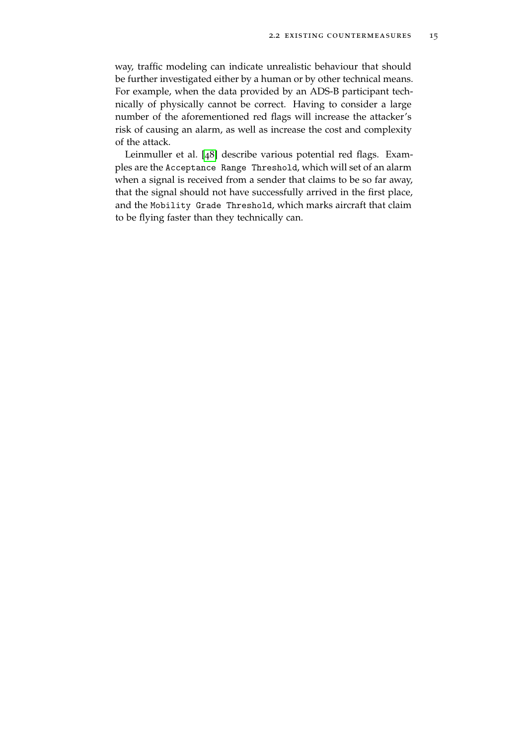way, traffic modeling can indicate unrealistic behaviour that should be further investigated either by a human or by other technical means. For example, when the data provided by an ADS-B participant technically of physically cannot be correct. Having to consider a large number of the aforementioned red flags will increase the attacker's risk of causing an alarm, as well as increase the cost and complexity of the attack.

Leinmuller et al. [[48](#page-38-2)] describe various potential red flags. Examples are the Acceptance Range Threshold, which will set of an alarm when a signal is received from a sender that claims to be so far away, that the signal should not have successfully arrived in the first place, and the Mobility Grade Threshold, which marks aircraft that claim to be flying faster than they technically can.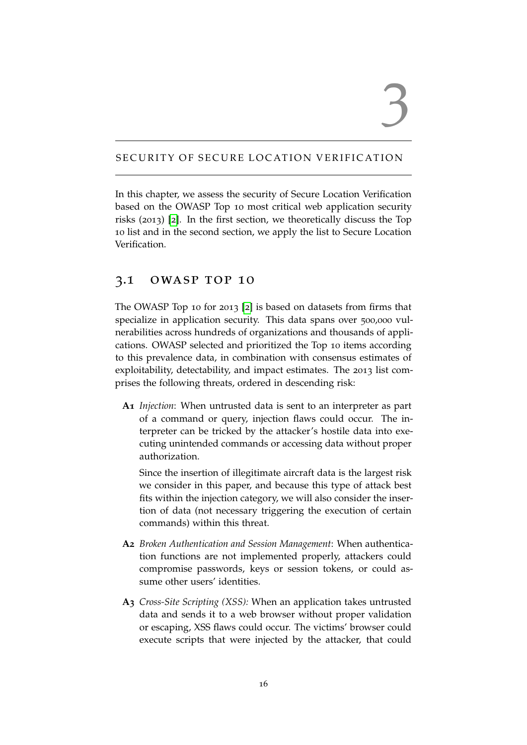## 3

#### <span id="page-15-0"></span>SECURITY OF SECURE LOCATION VERIFICATION

In this chapter, we assess the security of Secure Location Verification based on the OWASP Top 10 most critical web application security risks (2013) [[2](#page-34-1)]. In the first section, we theoretically discuss the Top 10 list and in the second section, we apply the list to Secure Location Verification.

#### <span id="page-15-1"></span>3.1 owasp top 10

The OWASP Top 10 for 2013 [[2](#page-34-1)] is based on datasets from firms that specialize in application security. This data spans over 500,000 vulnerabilities across hundreds of organizations and thousands of applications. OWASP selected and prioritized the Top 10 items according to this prevalence data, in combination with consensus estimates of exploitability, detectability, and impact estimates. The 2013 list comprises the following threats, ordered in descending risk:

**A1** *Injection*: When untrusted data is sent to an interpreter as part of a command or query, injection flaws could occur. The interpreter can be tricked by the attacker's hostile data into executing unintended commands or accessing data without proper authorization.

Since the insertion of illegitimate aircraft data is the largest risk we consider in this paper, and because this type of attack best fits within the injection category, we will also consider the insertion of data (not necessary triggering the execution of certain commands) within this threat.

- **A2** *Broken Authentication and Session Management*: When authentication functions are not implemented properly, attackers could compromise passwords, keys or session tokens, or could assume other users' identities.
- **A3** *Cross-Site Scripting (XSS):* When an application takes untrusted data and sends it to a web browser without proper validation or escaping, XSS flaws could occur. The victims' browser could execute scripts that were injected by the attacker, that could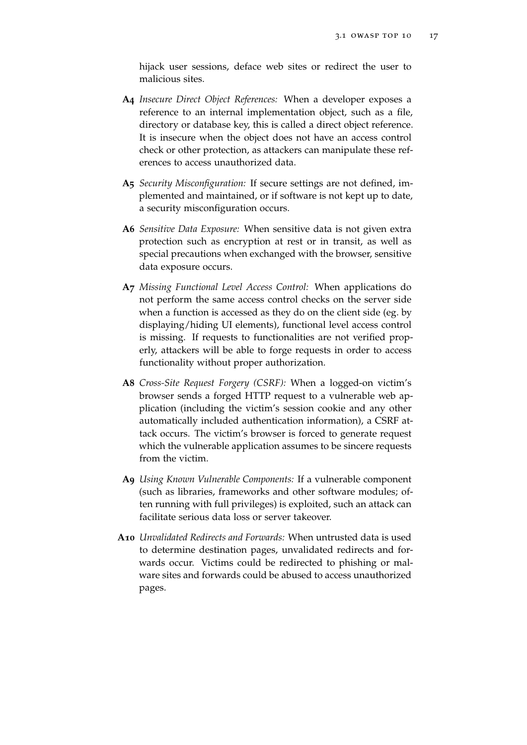hijack user sessions, deface web sites or redirect the user to malicious sites.

- **A4** *Insecure Direct Object References:* When a developer exposes a reference to an internal implementation object, such as a file, directory or database key, this is called a direct object reference. It is insecure when the object does not have an access control check or other protection, as attackers can manipulate these references to access unauthorized data.
- **A5** *Security Misconfiguration:* If secure settings are not defined, implemented and maintained, or if software is not kept up to date, a security misconfiguration occurs.
- **A6** *Sensitive Data Exposure:* When sensitive data is not given extra protection such as encryption at rest or in transit, as well as special precautions when exchanged with the browser, sensitive data exposure occurs.
- **A7** *Missing Functional Level Access Control:* When applications do not perform the same access control checks on the server side when a function is accessed as they do on the client side (eg. by displaying/hiding UI elements), functional level access control is missing. If requests to functionalities are not verified properly, attackers will be able to forge requests in order to access functionality without proper authorization.
- **A8** *Cross-Site Request Forgery (CSRF):* When a logged-on victim's browser sends a forged HTTP request to a vulnerable web application (including the victim's session cookie and any other automatically included authentication information), a CSRF attack occurs. The victim's browser is forced to generate request which the vulnerable application assumes to be sincere requests from the victim.
- **A9** *Using Known Vulnerable Components:* If a vulnerable component (such as libraries, frameworks and other software modules; often running with full privileges) is exploited, such an attack can facilitate serious data loss or server takeover.
- <span id="page-16-0"></span>**A10** *Unvalidated Redirects and Forwards:* When untrusted data is used to determine destination pages, unvalidated redirects and forwards occur. Victims could be redirected to phishing or malware sites and forwards could be abused to access unauthorized pages.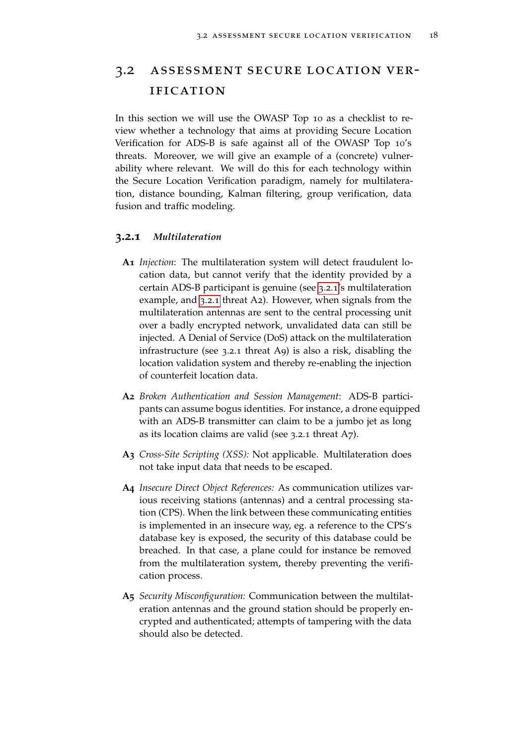#### 3.2 assessment secure location verification

In this section we will use the OWASP Top 10 as a checklist to review whether a technology that aims at providing Secure Location Verification for ADS-B is safe against all of the OWASP Top 10's threats. Moreover, we will give an example of a (concrete) vulnerability where relevant. We will do this for each technology within the Secure Location Verification paradigm, namely for multilateration, distance bounding, Kalman filtering, group verification, data fusion and traffic modeling.

#### <span id="page-17-0"></span>**3.2.1** *Multilateration*

- **A1** *Injection*: The multilateration system will detect fraudulent location data, but cannot verify that the identity provided by a certain ADS-B participant is genuine (see [3](#page-17-0).2.1's multilateration example, and [3](#page-17-0).2.1 threat A2). However, when signals from the multilateration antennas are sent to the central processing unit over a badly encrypted network, unvalidated data can still be injected. A Denial of Service (DoS) attack on the multilateration infrastructure (see 3.2.1 threat A9) is also a risk, disabling the location validation system and thereby re-enabling the injection of counterfeit location data.
- **A2** *Broken Authentication and Session Management*: ADS-B participants can assume bogus identities. For instance, a drone equipped with an ADS-B transmitter can claim to be a jumbo jet as long as its location claims are valid (see 3.2.1 threat A7).
- **A3** *Cross-Site Scripting (XSS):* Not applicable. Multilateration does not take input data that needs to be escaped.
- **A4** *Insecure Direct Object References:* As communication utilizes various receiving stations (antennas) and a central processing station (CPS). When the link between these communicating entities is implemented in an insecure way, eg. a reference to the CPS's database key is exposed, the security of this database could be breached. In that case, a plane could for instance be removed from the multilateration system, thereby preventing the verification process.
- **A5** *Security Misconfiguration:* Communication between the multilateration antennas and the ground station should be properly encrypted and authenticated; attempts of tampering with the data should also be detected.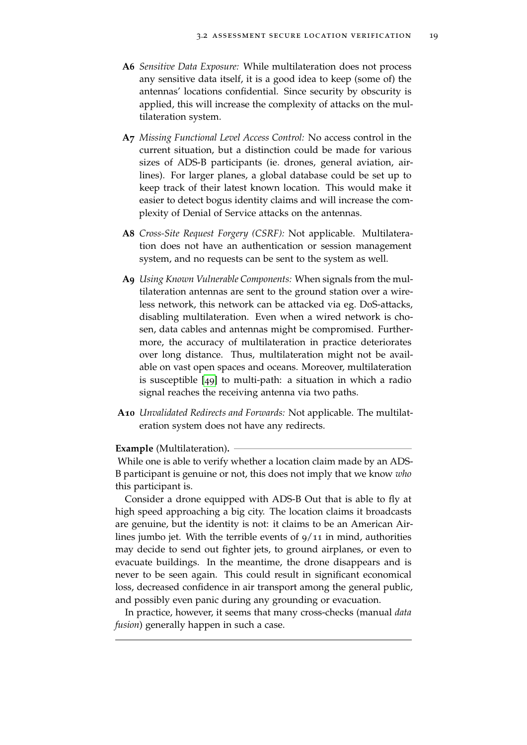- **A6** *Sensitive Data Exposure:* While multilateration does not process any sensitive data itself, it is a good idea to keep (some of) the antennas' locations confidential. Since security by obscurity is applied, this will increase the complexity of attacks on the multilateration system.
- **A7** *Missing Functional Level Access Control:* No access control in the current situation, but a distinction could be made for various sizes of ADS-B participants (ie. drones, general aviation, airlines). For larger planes, a global database could be set up to keep track of their latest known location. This would make it easier to detect bogus identity claims and will increase the complexity of Denial of Service attacks on the antennas.
- **A8** *Cross-Site Request Forgery (CSRF):* Not applicable. Multilateration does not have an authentication or session management system, and no requests can be sent to the system as well.
- **A9** *Using Known Vulnerable Components:* When signals from the multilateration antennas are sent to the ground station over a wireless network, this network can be attacked via eg. DoS-attacks, disabling multilateration. Even when a wired network is chosen, data cables and antennas might be compromised. Furthermore, the accuracy of multilateration in practice deteriorates over long distance. Thus, multilateration might not be available on vast open spaces and oceans. Moreover, multilateration is susceptible [[49](#page-38-3)] to multi-path: a situation in which a radio signal reaches the receiving antenna via two paths.
- **A10** *Unvalidated Redirects and Forwards:* Not applicable. The multilateration system does not have any redirects.

#### **Example** (Multilateration)**.**

While one is able to verify whether a location claim made by an ADS-B participant is genuine or not, this does not imply that we know *who* this participant is.

Consider a drone equipped with ADS-B Out that is able to fly at high speed approaching a big city. The location claims it broadcasts are genuine, but the identity is not: it claims to be an American Airlines jumbo jet. With the terrible events of  $9/11$  in mind, authorities may decide to send out fighter jets, to ground airplanes, or even to evacuate buildings. In the meantime, the drone disappears and is never to be seen again. This could result in significant economical loss, decreased confidence in air transport among the general public, and possibly even panic during any grounding or evacuation.

<span id="page-18-0"></span>In practice, however, it seems that many cross-checks (manual *data fusion*) generally happen in such a case.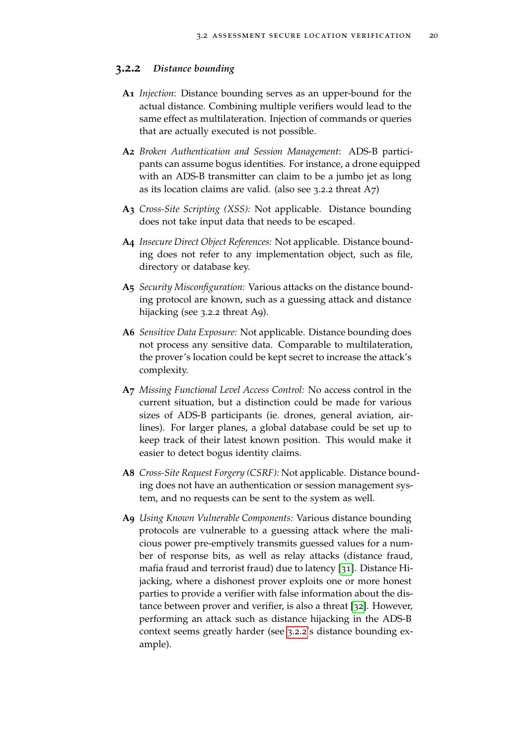#### **3.2.2** *Distance bounding*

- **A1** *Injection*: Distance bounding serves as an upper-bound for the actual distance. Combining multiple verifiers would lead to the same effect as multilateration. Injection of commands or queries that are actually executed is not possible.
- **A2** *Broken Authentication and Session Management*: ADS-B participants can assume bogus identities. For instance, a drone equipped with an ADS-B transmitter can claim to be a jumbo jet as long as its location claims are valid. (also see 3.2.2 threat A7)
- **A3** *Cross-Site Scripting (XSS):* Not applicable. Distance bounding does not take input data that needs to be escaped.
- **A4** *Insecure Direct Object References:* Not applicable. Distance bounding does not refer to any implementation object, such as file, directory or database key.
- **A5** *Security Misconfiguration:* Various attacks on the distance bounding protocol are known, such as a guessing attack and distance hijacking (see 3.2.2 threat A9).
- **A6** *Sensitive Data Exposure:* Not applicable. Distance bounding does not process any sensitive data. Comparable to multilateration, the prover's location could be kept secret to increase the attack's complexity.
- **A7** *Missing Functional Level Access Control:* No access control in the current situation, but a distinction could be made for various sizes of ADS-B participants (ie. drones, general aviation, airlines). For larger planes, a global database could be set up to keep track of their latest known position. This would make it easier to detect bogus identity claims.
- **A8** *Cross-Site Request Forgery (CSRF):* Not applicable. Distance bounding does not have an authentication or session management system, and no requests can be sent to the system as well.
- **A9** *Using Known Vulnerable Components:* Various distance bounding protocols are vulnerable to a guessing attack where the malicious power pre-emptively transmits guessed values for a number of response bits, as well as relay attacks (distance fraud, mafia fraud and terrorist fraud) due to latency [[31](#page-36-8)]. Distance Hijacking, where a dishonest prover exploits one or more honest parties to provide a verifier with false information about the distance between prover and verifier, is also a threat [[32](#page-36-9)]. However, performing an attack such as distance hijacking in the ADS-B context seems greatly harder (see [3](#page-18-0).2.2's distance bounding example).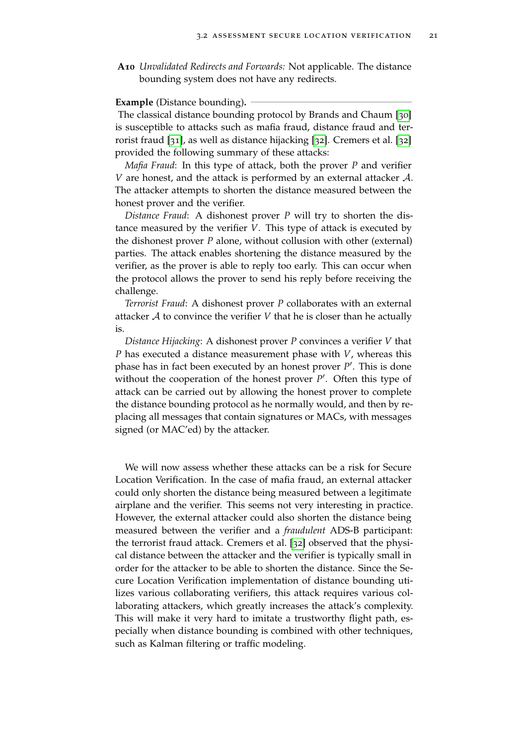**A10** *Unvalidated Redirects and Forwards:* Not applicable. The distance bounding system does not have any redirects.

#### **Example** (Distance bounding)**.**

The classical distance bounding protocol by Brands and Chaum [[30](#page-36-7)] is susceptible to attacks such as mafia fraud, distance fraud and terrorist fraud [[31](#page-36-8)], as well as distance hijacking [[32](#page-36-9)]. Cremers et al. [[32](#page-36-9)] provided the following summary of these attacks:

*Mafia Fraud*: In this type of attack, both the prover *P* and verifier *V* are honest, and the attack is performed by an external attacker A. The attacker attempts to shorten the distance measured between the honest prover and the verifier.

*Distance Fraud*: A dishonest prover *P* will try to shorten the distance measured by the verifier *V*. This type of attack is executed by the dishonest prover *P* alone, without collusion with other (external) parties. The attack enables shortening the distance measured by the verifier, as the prover is able to reply too early. This can occur when the protocol allows the prover to send his reply before receiving the challenge.

*Terrorist Fraud*: A dishonest prover *P* collaborates with an external attacker  $A$  to convince the verifier  $V$  that he is closer than he actually is.

*Distance Hijacking*: A dishonest prover *P* convinces a verifier *V* that *P* has executed a distance measurement phase with *V*, whereas this phase has in fact been executed by an honest prover P<sup>'</sup>. This is done without the cooperation of the honest prover P'. Often this type of attack can be carried out by allowing the honest prover to complete the distance bounding protocol as he normally would, and then by replacing all messages that contain signatures or MACs, with messages signed (or MAC'ed) by the attacker.

We will now assess whether these attacks can be a risk for Secure Location Verification. In the case of mafia fraud, an external attacker could only shorten the distance being measured between a legitimate airplane and the verifier. This seems not very interesting in practice. However, the external attacker could also shorten the distance being measured between the verifier and a *fraudulent* ADS-B participant: the terrorist fraud attack. Cremers et al. [[32](#page-36-9)] observed that the physical distance between the attacker and the verifier is typically small in order for the attacker to be able to shorten the distance. Since the Secure Location Verification implementation of distance bounding utilizes various collaborating verifiers, this attack requires various collaborating attackers, which greatly increases the attack's complexity. This will make it very hard to imitate a trustworthy flight path, especially when distance bounding is combined with other techniques, such as Kalman filtering or traffic modeling.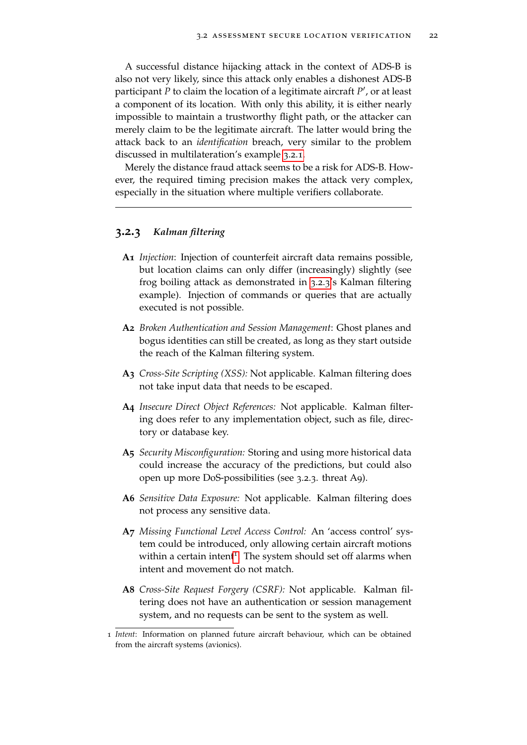A successful distance hijacking attack in the context of ADS-B is also not very likely, since this attack only enables a dishonest ADS-B participant P to claim the location of a legitimate aircraft P', or at least a component of its location. With only this ability, it is either nearly impossible to maintain a trustworthy flight path, or the attacker can merely claim to be the legitimate aircraft. The latter would bring the attack back to an *identification* breach, very similar to the problem discussed in multilateration's example [3](#page-17-0).2.1.

Merely the distance fraud attack seems to be a risk for ADS-B. However, the required timing precision makes the attack very complex, especially in the situation where multiple verifiers collaborate.

#### <span id="page-21-0"></span>**3.2.3** *Kalman filtering*

- **A1** *Injection*: Injection of counterfeit aircraft data remains possible, but location claims can only differ (increasingly) slightly (see frog boiling attack as demonstrated in [3](#page-21-0).2.3's Kalman filtering example). Injection of commands or queries that are actually executed is not possible.
- **A2** *Broken Authentication and Session Management*: Ghost planes and bogus identities can still be created, as long as they start outside the reach of the Kalman filtering system.
- **A3** *Cross-Site Scripting (XSS):* Not applicable. Kalman filtering does not take input data that needs to be escaped.
- **A4** *Insecure Direct Object References:* Not applicable. Kalman filtering does refer to any implementation object, such as file, directory or database key.
- **A5** *Security Misconfiguration:* Storing and using more historical data could increase the accuracy of the predictions, but could also open up more DoS-possibilities (see 3.2.3. threat A9).
- **A6** *Sensitive Data Exposure:* Not applicable. Kalman filtering does not process any sensitive data.
- **A7** *Missing Functional Level Access Control:* An 'access control' system could be introduced, only allowing certain aircraft motions within a certain intent<sup>[1](#page-21-1)</sup>. The system should set off alarms when intent and movement do not match.
- **A8** *Cross-Site Request Forgery (CSRF):* Not applicable. Kalman filtering does not have an authentication or session management system, and no requests can be sent to the system as well.

<span id="page-21-1"></span><sup>1</sup> *Intent*: Information on planned future aircraft behaviour, which can be obtained from the aircraft systems (avionics).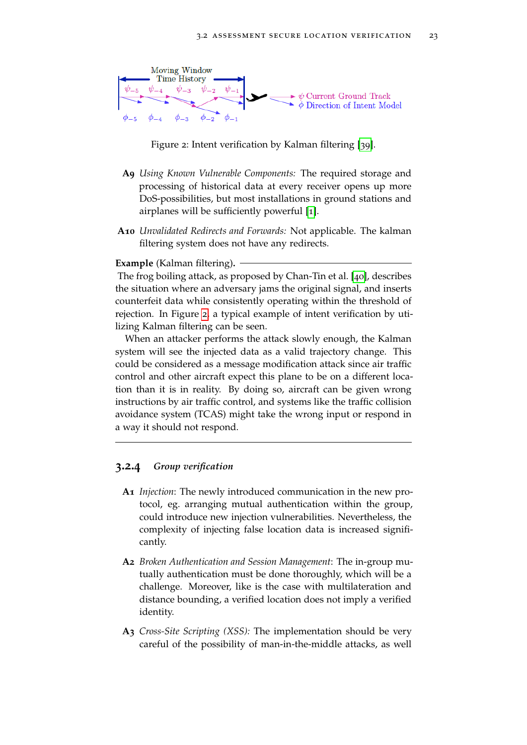

<span id="page-22-0"></span>Figure 2: Intent verification by Kalman filtering [[39](#page-37-5)].

- **A9** *Using Known Vulnerable Components:* The required storage and processing of historical data at every receiver opens up more DoS-possibilities, but most installations in ground stations and airplanes will be sufficiently powerful [[1](#page-34-0)].
- **A10** *Unvalidated Redirects and Forwards:* Not applicable. The kalman filtering system does not have any redirects.

#### **Example** (Kalman filtering)**.**

The frog boiling attack, as proposed by Chan-Tin et al. [[40](#page-37-6)], describes the situation where an adversary jams the original signal, and inserts counterfeit data while consistently operating within the threshold of rejection. In Figure [2](#page-22-0), a typical example of intent verification by utilizing Kalman filtering can be seen.

When an attacker performs the attack slowly enough, the Kalman system will see the injected data as a valid trajectory change. This could be considered as a message modification attack since air traffic control and other aircraft expect this plane to be on a different location than it is in reality. By doing so, aircraft can be given wrong instructions by air traffic control, and systems like the traffic collision avoidance system (TCAS) might take the wrong input or respond in a way it should not respond.

#### <span id="page-22-1"></span>**3.2.4** *Group verification*

- **A1** *Injection*: The newly introduced communication in the new protocol, eg. arranging mutual authentication within the group, could introduce new injection vulnerabilities. Nevertheless, the complexity of injecting false location data is increased significantly.
- **A2** *Broken Authentication and Session Management*: The in-group mutually authentication must be done thoroughly, which will be a challenge. Moreover, like is the case with multilateration and distance bounding, a verified location does not imply a verified identity.
- **A3** *Cross-Site Scripting (XSS):* The implementation should be very careful of the possibility of man-in-the-middle attacks, as well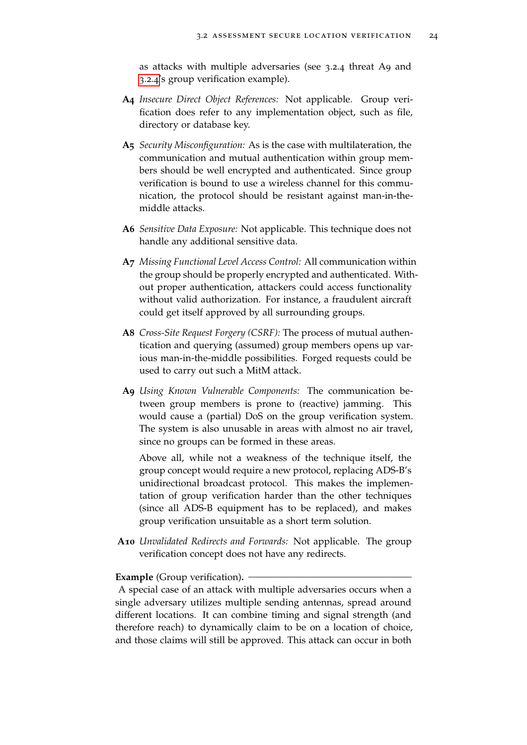as attacks with multiple adversaries (see 3.2.4 threat A9 and [3](#page-22-1).2.4's group verification example).

- **A4** *Insecure Direct Object References:* Not applicable. Group verification does refer to any implementation object, such as file, directory or database key.
- **A5** *Security Misconfiguration:* As is the case with multilateration, the communication and mutual authentication within group members should be well encrypted and authenticated. Since group verification is bound to use a wireless channel for this communication, the protocol should be resistant against man-in-themiddle attacks.
- **A6** *Sensitive Data Exposure:* Not applicable. This technique does not handle any additional sensitive data.
- **A7** *Missing Functional Level Access Control:* All communication within the group should be properly encrypted and authenticated. Without proper authentication, attackers could access functionality without valid authorization. For instance, a fraudulent aircraft could get itself approved by all surrounding groups.
- **A8** *Cross-Site Request Forgery (CSRF):* The process of mutual authentication and querying (assumed) group members opens up various man-in-the-middle possibilities. Forged requests could be used to carry out such a MitM attack.
- **A9** *Using Known Vulnerable Components:* The communication between group members is prone to (reactive) jamming. This would cause a (partial) DoS on the group verification system. The system is also unusable in areas with almost no air travel, since no groups can be formed in these areas.

Above all, while not a weakness of the technique itself, the group concept would require a new protocol, replacing ADS-B's unidirectional broadcast protocol. This makes the implementation of group verification harder than the other techniques (since all ADS-B equipment has to be replaced), and makes group verification unsuitable as a short term solution.

**A10** *Unvalidated Redirects and Forwards:* Not applicable. The group verification concept does not have any redirects.

#### **Example** (Group verification)**.**

A special case of an attack with multiple adversaries occurs when a single adversary utilizes multiple sending antennas, spread around different locations. It can combine timing and signal strength (and therefore reach) to dynamically claim to be on a location of choice, and those claims will still be approved. This attack can occur in both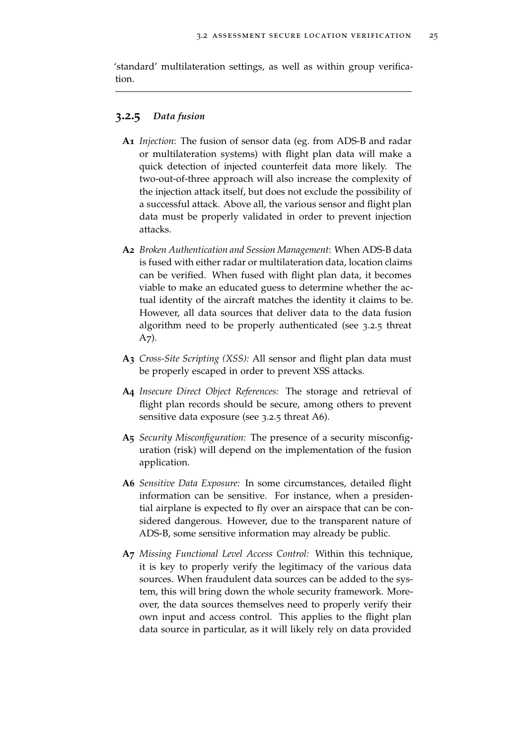'standard' multilateration settings, as well as within group verification.

#### **3.2.5** *Data fusion*

- **A1** *Injection*: The fusion of sensor data (eg. from ADS-B and radar or multilateration systems) with flight plan data will make a quick detection of injected counterfeit data more likely. The two-out-of-three approach will also increase the complexity of the injection attack itself, but does not exclude the possibility of a successful attack. Above all, the various sensor and flight plan data must be properly validated in order to prevent injection attacks.
- **A2** *Broken Authentication and Session Management*: When ADS-B data is fused with either radar or multilateration data, location claims can be verified. When fused with flight plan data, it becomes viable to make an educated guess to determine whether the actual identity of the aircraft matches the identity it claims to be. However, all data sources that deliver data to the data fusion algorithm need to be properly authenticated (see 3.2.5 threat A7).
- **A3** *Cross-Site Scripting (XSS):* All sensor and flight plan data must be properly escaped in order to prevent XSS attacks.
- **A4** *Insecure Direct Object References:* The storage and retrieval of flight plan records should be secure, among others to prevent sensitive data exposure (see 3.2.5 threat A6).
- **A5** *Security Misconfiguration:* The presence of a security misconfiguration (risk) will depend on the implementation of the fusion application.
- **A6** *Sensitive Data Exposure:* In some circumstances, detailed flight information can be sensitive. For instance, when a presidential airplane is expected to fly over an airspace that can be considered dangerous. However, due to the transparent nature of ADS-B, some sensitive information may already be public.
- **A7** *Missing Functional Level Access Control:* Within this technique, it is key to properly verify the legitimacy of the various data sources. When fraudulent data sources can be added to the system, this will bring down the whole security framework. Moreover, the data sources themselves need to properly verify their own input and access control. This applies to the flight plan data source in particular, as it will likely rely on data provided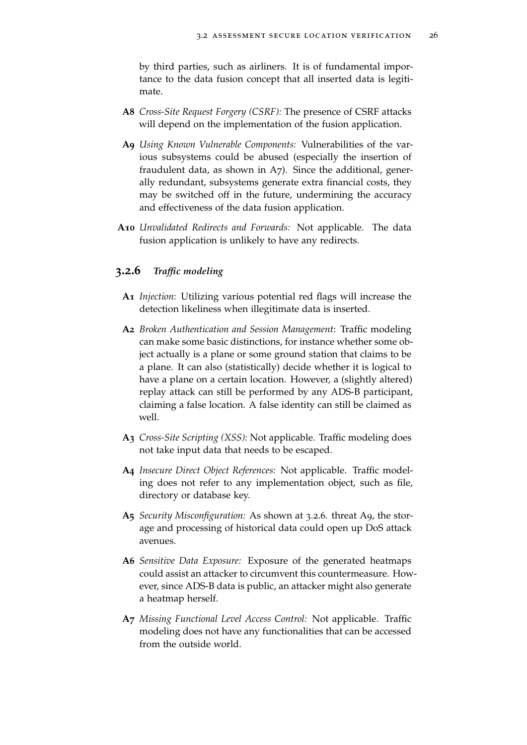by third parties, such as airliners. It is of fundamental importance to the data fusion concept that all inserted data is legitimate.

- **A8** *Cross-Site Request Forgery (CSRF):* The presence of CSRF attacks will depend on the implementation of the fusion application.
- **A9** *Using Known Vulnerable Components:* Vulnerabilities of the various subsystems could be abused (especially the insertion of fraudulent data, as shown in A7). Since the additional, generally redundant, subsystems generate extra financial costs, they may be switched off in the future, undermining the accuracy and effectiveness of the data fusion application.
- **A10** *Unvalidated Redirects and Forwards:* Not applicable. The data fusion application is unlikely to have any redirects.

#### **3.2.6** *Traffic modeling*

- **A1** *Injection*: Utilizing various potential red flags will increase the detection likeliness when illegitimate data is inserted.
- **A2** *Broken Authentication and Session Management*: Traffic modeling can make some basic distinctions, for instance whether some object actually is a plane or some ground station that claims to be a plane. It can also (statistically) decide whether it is logical to have a plane on a certain location. However, a (slightly altered) replay attack can still be performed by any ADS-B participant, claiming a false location. A false identity can still be claimed as well.
- **A3** *Cross-Site Scripting (XSS):* Not applicable. Traffic modeling does not take input data that needs to be escaped.
- **A4** *Insecure Direct Object References:* Not applicable. Traffic modeling does not refer to any implementation object, such as file, directory or database key.
- **A5** *Security Misconfiguration:* As shown at 3.2.6. threat A9, the storage and processing of historical data could open up DoS attack avenues.
- **A6** *Sensitive Data Exposure:* Exposure of the generated heatmaps could assist an attacker to circumvent this countermeasure. However, since ADS-B data is public, an attacker might also generate a heatmap herself.
- **A7** *Missing Functional Level Access Control:* Not applicable. Traffic modeling does not have any functionalities that can be accessed from the outside world.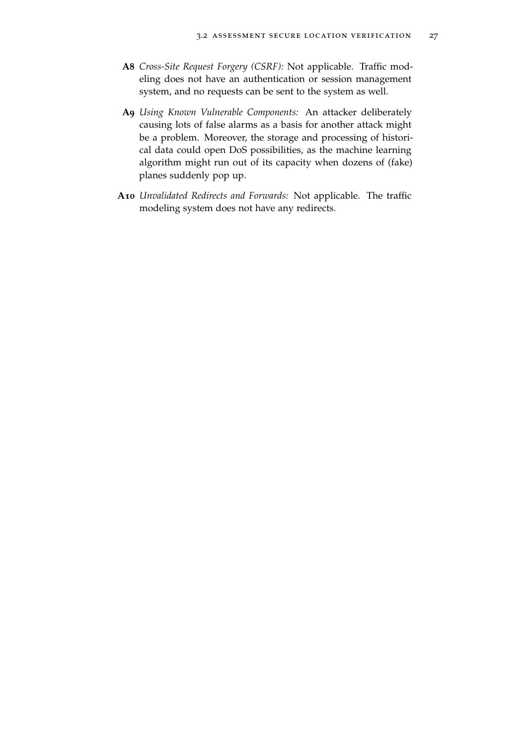- **A8** *Cross-Site Request Forgery (CSRF):* Not applicable. Traffic modeling does not have an authentication or session management system, and no requests can be sent to the system as well.
- **A9** *Using Known Vulnerable Components:* An attacker deliberately causing lots of false alarms as a basis for another attack might be a problem. Moreover, the storage and processing of historical data could open DoS possibilities, as the machine learning algorithm might run out of its capacity when dozens of (fake) planes suddenly pop up.
- **A10** *Unvalidated Redirects and Forwards:* Not applicable. The traffic modeling system does not have any redirects.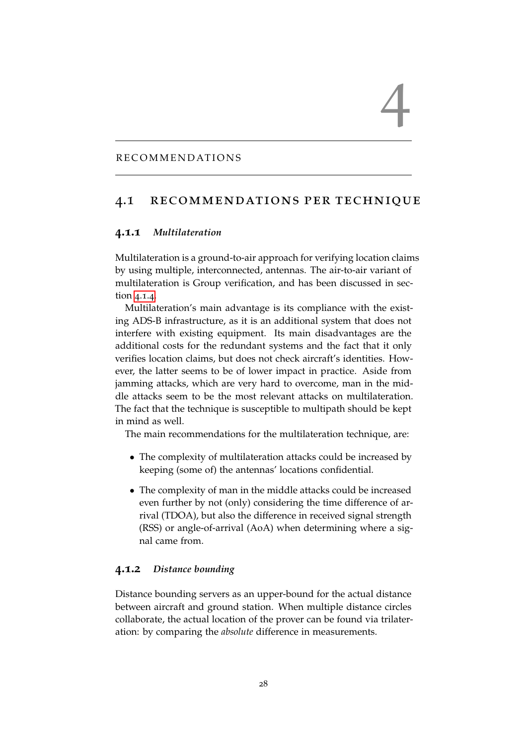#### <span id="page-27-0"></span>RECOMMENDATIONS

#### <span id="page-27-1"></span>4.1 recommendations per technique

 $\overline{4}$ 

#### **4.1.1** *Multilateration*

Multilateration is a ground-to-air approach for verifying location claims by using multiple, interconnected, antennas. The air-to-air variant of multilateration is Group verification, and has been discussed in section [4](#page-28-0).1.4.

Multilateration's main advantage is its compliance with the existing ADS-B infrastructure, as it is an additional system that does not interfere with existing equipment. Its main disadvantages are the additional costs for the redundant systems and the fact that it only verifies location claims, but does not check aircraft's identities. However, the latter seems to be of lower impact in practice. Aside from jamming attacks, which are very hard to overcome, man in the middle attacks seem to be the most relevant attacks on multilateration. The fact that the technique is susceptible to multipath should be kept in mind as well.

The main recommendations for the multilateration technique, are:

- The complexity of multilateration attacks could be increased by keeping (some of) the antennas' locations confidential.
- The complexity of man in the middle attacks could be increased even further by not (only) considering the time difference of arrival (TDOA), but also the difference in received signal strength (RSS) or angle-of-arrival (AoA) when determining where a signal came from.

#### **4.1.2** *Distance bounding*

Distance bounding servers as an upper-bound for the actual distance between aircraft and ground station. When multiple distance circles collaborate, the actual location of the prover can be found via trilateration: by comparing the *absolute* difference in measurements.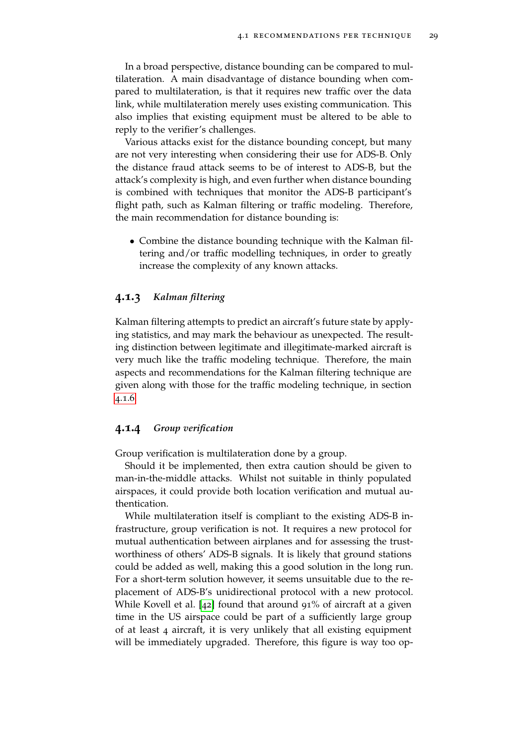In a broad perspective, distance bounding can be compared to multilateration. A main disadvantage of distance bounding when compared to multilateration, is that it requires new traffic over the data link, while multilateration merely uses existing communication. This also implies that existing equipment must be altered to be able to reply to the verifier's challenges.

Various attacks exist for the distance bounding concept, but many are not very interesting when considering their use for ADS-B. Only the distance fraud attack seems to be of interest to ADS-B, but the attack's complexity is high, and even further when distance bounding is combined with techniques that monitor the ADS-B participant's flight path, such as Kalman filtering or traffic modeling. Therefore, the main recommendation for distance bounding is:

• Combine the distance bounding technique with the Kalman filtering and/or traffic modelling techniques, in order to greatly increase the complexity of any known attacks.

#### **4.1.3** *Kalman filtering*

Kalman filtering attempts to predict an aircraft's future state by applying statistics, and may mark the behaviour as unexpected. The resulting distinction between legitimate and illegitimate-marked aircraft is very much like the traffic modeling technique. Therefore, the main aspects and recommendations for the Kalman filtering technique are given along with those for the traffic modeling technique, in section [4](#page-29-0).1.6.

#### <span id="page-28-0"></span>**4.1.4** *Group verification*

Group verification is multilateration done by a group.

Should it be implemented, then extra caution should be given to man-in-the-middle attacks. Whilst not suitable in thinly populated airspaces, it could provide both location verification and mutual authentication.

While multilateration itself is compliant to the existing ADS-B infrastructure, group verification is not. It requires a new protocol for mutual authentication between airplanes and for assessing the trustworthiness of others' ADS-B signals. It is likely that ground stations could be added as well, making this a good solution in the long run. For a short-term solution however, it seems unsuitable due to the replacement of ADS-B's unidirectional protocol with a new protocol. While Kovell et al. [[42](#page-37-8)] found that around 91% of aircraft at a given time in the US airspace could be part of a sufficiently large group of at least 4 aircraft, it is very unlikely that all existing equipment will be immediately upgraded. Therefore, this figure is way too op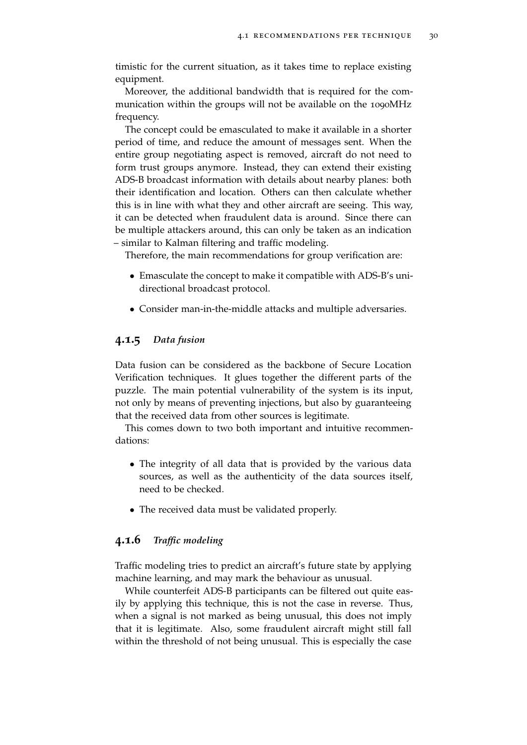timistic for the current situation, as it takes time to replace existing equipment.

Moreover, the additional bandwidth that is required for the communication within the groups will not be available on the 1090MHz frequency.

The concept could be emasculated to make it available in a shorter period of time, and reduce the amount of messages sent. When the entire group negotiating aspect is removed, aircraft do not need to form trust groups anymore. Instead, they can extend their existing ADS-B broadcast information with details about nearby planes: both their identification and location. Others can then calculate whether this is in line with what they and other aircraft are seeing. This way, it can be detected when fraudulent data is around. Since there can be multiple attackers around, this can only be taken as an indication – similar to Kalman filtering and traffic modeling.

Therefore, the main recommendations for group verification are:

- Emasculate the concept to make it compatible with ADS-B's unidirectional broadcast protocol.
- Consider man-in-the-middle attacks and multiple adversaries.

#### **4.1.5** *Data fusion*

Data fusion can be considered as the backbone of Secure Location Verification techniques. It glues together the different parts of the puzzle. The main potential vulnerability of the system is its input, not only by means of preventing injections, but also by guaranteeing that the received data from other sources is legitimate.

This comes down to two both important and intuitive recommendations:

- The integrity of all data that is provided by the various data sources, as well as the authenticity of the data sources itself, need to be checked.
- The received data must be validated properly.

#### <span id="page-29-0"></span>**4.1.6** *Traffic modeling*

Traffic modeling tries to predict an aircraft's future state by applying machine learning, and may mark the behaviour as unusual.

While counterfeit ADS-B participants can be filtered out quite easily by applying this technique, this is not the case in reverse. Thus, when a signal is not marked as being unusual, this does not imply that it is legitimate. Also, some fraudulent aircraft might still fall within the threshold of not being unusual. This is especially the case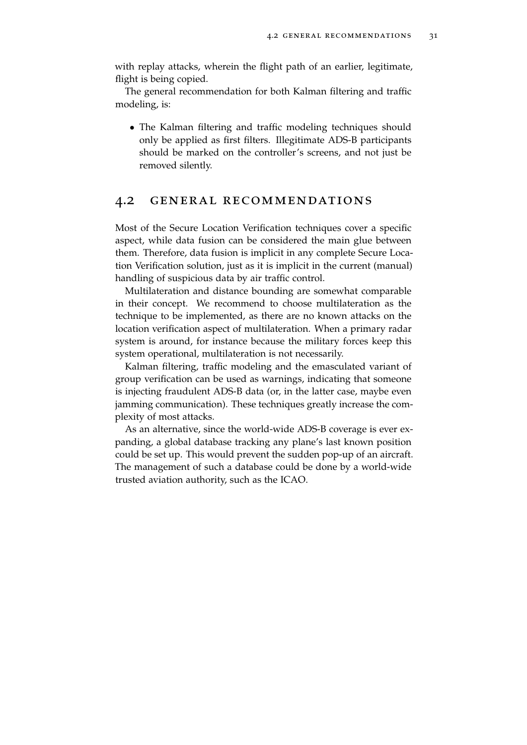with replay attacks, wherein the flight path of an earlier, legitimate, flight is being copied.

The general recommendation for both Kalman filtering and traffic modeling, is:

• The Kalman filtering and traffic modeling techniques should only be applied as first filters. Illegitimate ADS-B participants should be marked on the controller's screens, and not just be removed silently.

#### <span id="page-30-0"></span>4.2 general recommendations

Most of the Secure Location Verification techniques cover a specific aspect, while data fusion can be considered the main glue between them. Therefore, data fusion is implicit in any complete Secure Location Verification solution, just as it is implicit in the current (manual) handling of suspicious data by air traffic control.

Multilateration and distance bounding are somewhat comparable in their concept. We recommend to choose multilateration as the technique to be implemented, as there are no known attacks on the location verification aspect of multilateration. When a primary radar system is around, for instance because the military forces keep this system operational, multilateration is not necessarily.

Kalman filtering, traffic modeling and the emasculated variant of group verification can be used as warnings, indicating that someone is injecting fraudulent ADS-B data (or, in the latter case, maybe even jamming communication). These techniques greatly increase the complexity of most attacks.

As an alternative, since the world-wide ADS-B coverage is ever expanding, a global database tracking any plane's last known position could be set up. This would prevent the sudden pop-up of an aircraft. The management of such a database could be done by a world-wide trusted aviation authority, such as the ICAO.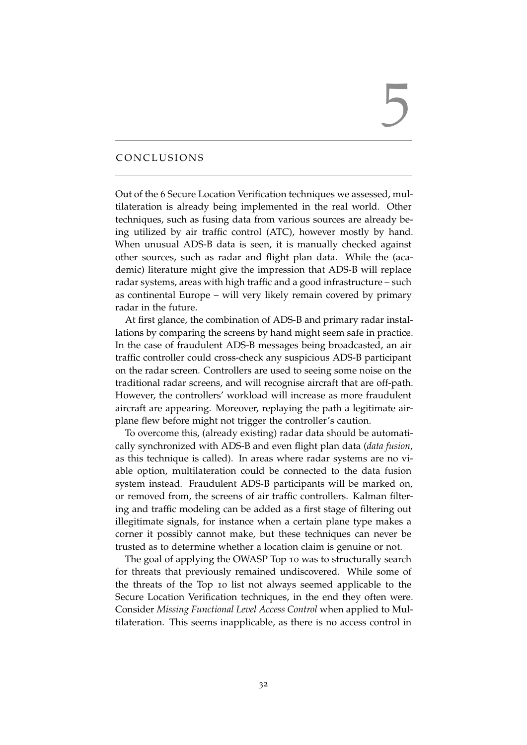# 5

#### <span id="page-31-0"></span>CONCLUSIONS

Out of the 6 Secure Location Verification techniques we assessed, multilateration is already being implemented in the real world. Other techniques, such as fusing data from various sources are already being utilized by air traffic control (ATC), however mostly by hand. When unusual ADS-B data is seen, it is manually checked against other sources, such as radar and flight plan data. While the (academic) literature might give the impression that ADS-B will replace radar systems, areas with high traffic and a good infrastructure – such as continental Europe – will very likely remain covered by primary radar in the future.

At first glance, the combination of ADS-B and primary radar installations by comparing the screens by hand might seem safe in practice. In the case of fraudulent ADS-B messages being broadcasted, an air traffic controller could cross-check any suspicious ADS-B participant on the radar screen. Controllers are used to seeing some noise on the traditional radar screens, and will recognise aircraft that are off-path. However, the controllers' workload will increase as more fraudulent aircraft are appearing. Moreover, replaying the path a legitimate airplane flew before might not trigger the controller's caution.

To overcome this, (already existing) radar data should be automatically synchronized with ADS-B and even flight plan data (*data fusion*, as this technique is called). In areas where radar systems are no viable option, multilateration could be connected to the data fusion system instead. Fraudulent ADS-B participants will be marked on, or removed from, the screens of air traffic controllers. Kalman filtering and traffic modeling can be added as a first stage of filtering out illegitimate signals, for instance when a certain plane type makes a corner it possibly cannot make, but these techniques can never be trusted as to determine whether a location claim is genuine or not.

The goal of applying the OWASP Top 10 was to structurally search for threats that previously remained undiscovered. While some of the threats of the Top 10 list not always seemed applicable to the Secure Location Verification techniques, in the end they often were. Consider *Missing Functional Level Access Control* when applied to Multilateration. This seems inapplicable, as there is no access control in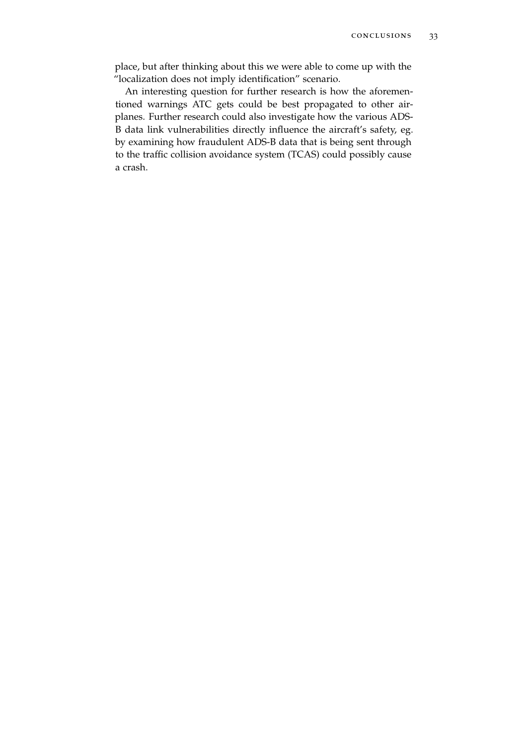place, but after thinking about this we were able to come up with the "localization does not imply identification" scenario.

An interesting question for further research is how the aforementioned warnings ATC gets could be best propagated to other airplanes. Further research could also investigate how the various ADS-B data link vulnerabilities directly influence the aircraft's safety, eg. by examining how fraudulent ADS-B data that is being sent through to the traffic collision avoidance system (TCAS) could possibly cause a crash.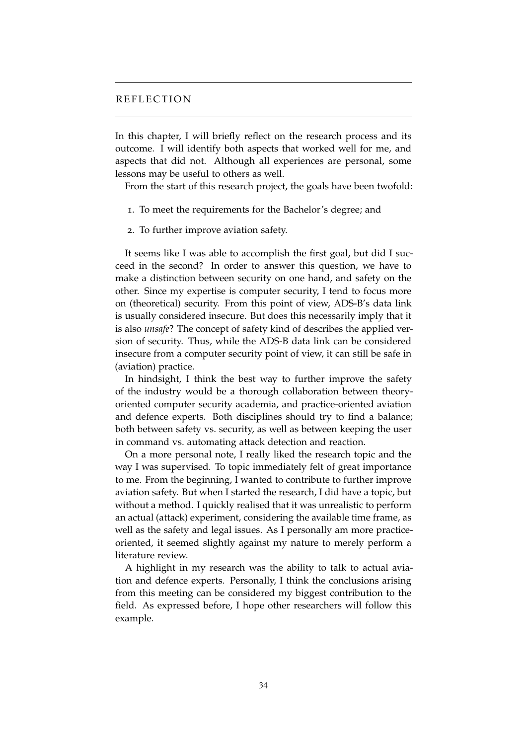#### <span id="page-33-0"></span>REFLECTION

In this chapter, I will briefly reflect on the research process and its outcome. I will identify both aspects that worked well for me, and aspects that did not. Although all experiences are personal, some lessons may be useful to others as well.

From the start of this research project, the goals have been twofold:

- 1. To meet the requirements for the Bachelor's degree; and
- 2. To further improve aviation safety.

It seems like I was able to accomplish the first goal, but did I succeed in the second? In order to answer this question, we have to make a distinction between security on one hand, and safety on the other. Since my expertise is computer security, I tend to focus more on (theoretical) security. From this point of view, ADS-B's data link is usually considered insecure. But does this necessarily imply that it is also *unsafe*? The concept of safety kind of describes the applied version of security. Thus, while the ADS-B data link can be considered insecure from a computer security point of view, it can still be safe in (aviation) practice.

In hindsight, I think the best way to further improve the safety of the industry would be a thorough collaboration between theoryoriented computer security academia, and practice-oriented aviation and defence experts. Both disciplines should try to find a balance; both between safety vs. security, as well as between keeping the user in command vs. automating attack detection and reaction.

On a more personal note, I really liked the research topic and the way I was supervised. To topic immediately felt of great importance to me. From the beginning, I wanted to contribute to further improve aviation safety. But when I started the research, I did have a topic, but without a method. I quickly realised that it was unrealistic to perform an actual (attack) experiment, considering the available time frame, as well as the safety and legal issues. As I personally am more practiceoriented, it seemed slightly against my nature to merely perform a literature review.

A highlight in my research was the ability to talk to actual aviation and defence experts. Personally, I think the conclusions arising from this meeting can be considered my biggest contribution to the field. As expressed before, I hope other researchers will follow this example.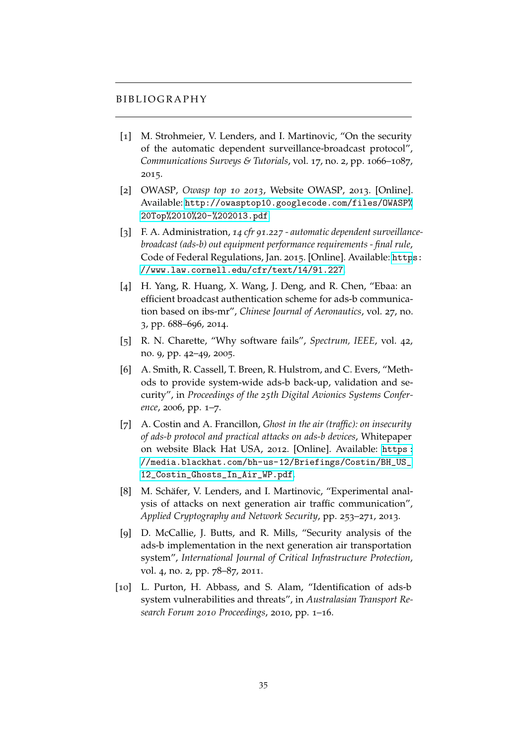#### <span id="page-34-2"></span>B I B L I O G R A P H Y

- <span id="page-34-0"></span>[1] M. Strohmeier, V. Lenders, and I. Martinovic, "On the security of the automatic dependent surveillance-broadcast protocol", *Communications Surveys & Tutorials*, vol. 17, no. 2, pp. 1066–1087, 2015.
- <span id="page-34-1"></span>[2] OWASP, *Owasp top 10 2013*, Website OWASP, 2013. [Online]. Available: [http://owasptop10.googlecode.com/files/OWASP%](http://owasptop10.googlecode.com/files/OWASP%20Top%2010%20-%202013.pdf) [20Top%2010%20-%202013.pdf](http://owasptop10.googlecode.com/files/OWASP%20Top%2010%20-%202013.pdf).
- <span id="page-34-3"></span>[3] F. A. Administration, *14 cfr 91.227 - automatic dependent surveillancebroadcast (ads-b) out equipment performance requirements - final rule*, Code of Federal Regulations, Jan. 2015. [Online]. Available: [http](https://www.law.cornell.edu/cfr/text/14/91.227)s: [//www.law.cornell.edu/cfr/text/14/91.227](https://www.law.cornell.edu/cfr/text/14/91.227).
- <span id="page-34-4"></span>[4] H. Yang, R. Huang, X. Wang, J. Deng, and R. Chen, "Ebaa: an efficient broadcast authentication scheme for ads-b communication based on ibs-mr", *Chinese Journal of Aeronautics*, vol. 27, no. 3, pp. 688–696, 2014.
- <span id="page-34-5"></span>[5] R. N. Charette, "Why software fails", *Spectrum, IEEE*, vol. 42, no. 9, pp. 42–49, 2005.
- <span id="page-34-6"></span>[6] A. Smith, R. Cassell, T. Breen, R. Hulstrom, and C. Evers, "Methods to provide system-wide ads-b back-up, validation and security", in *Proceedings of the 25th Digital Avionics Systems Conference*, 2006, pp. 1–7.
- <span id="page-34-7"></span>[7] A. Costin and A. Francillon, *Ghost in the air (traffic): on insecurity of ads-b protocol and practical attacks on ads-b devices*, Whitepaper on website Black Hat USA, 2012. [Online]. Available: [https :](https://media.blackhat.com/bh-us-12/Briefings/Costin/BH_US_12_Costin_Ghosts_In_Air_WP.pdf) [//media.blackhat.com/bh-us-12/Briefings/Costin/BH\\_US\\_](https://media.blackhat.com/bh-us-12/Briefings/Costin/BH_US_12_Costin_Ghosts_In_Air_WP.pdf) [12\\_Costin\\_Ghosts\\_In\\_Air\\_WP.pdf](https://media.blackhat.com/bh-us-12/Briefings/Costin/BH_US_12_Costin_Ghosts_In_Air_WP.pdf).
- <span id="page-34-10"></span>[8] M. Schäfer, V. Lenders, and I. Martinovic, "Experimental analysis of attacks on next generation air traffic communication", *Applied Cryptography and Network Security*, pp. 253–271, 2013.
- <span id="page-34-8"></span>[9] D. McCallie, J. Butts, and R. Mills, "Security analysis of the ads-b implementation in the next generation air transportation system", *International Journal of Critical Infrastructure Protection*, vol. 4, no. 2, pp. 78–87, 2011.
- <span id="page-34-9"></span>[10] L. Purton, H. Abbass, and S. Alam, "Identification of ads-b system vulnerabilities and threats", in *Australasian Transport Research Forum 2010 Proceedings*, 2010, pp. 1–16.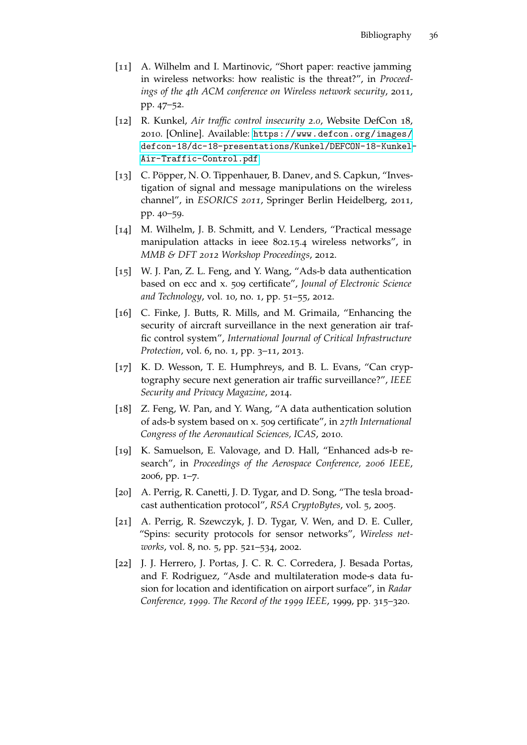- <span id="page-35-0"></span>[11] A. Wilhelm and I. Martinovic, "Short paper: reactive jamming in wireless networks: how realistic is the threat?", in *Proceedings of the 4th ACM conference on Wireless network security*, 2011, pp. 47–52.
- <span id="page-35-1"></span>[12] R. Kunkel, *Air traffic control insecurity 2.0*, Website DefCon 18, 2010. [Online]. Available: [https://www.defcon.org/images/](https://www.defcon.org/images/defcon-18/dc-18-presentations/Kunkel/DEFCON-18-Kunkel-Air-Traffic-Control.pdf) [defcon-18/dc-18-presentations/Kunkel/DEFCON-18-Kunkel-](https://www.defcon.org/images/defcon-18/dc-18-presentations/Kunkel/DEFCON-18-Kunkel-Air-Traffic-Control.pdf)[Air-Traffic-Control.pdf](https://www.defcon.org/images/defcon-18/dc-18-presentations/Kunkel/DEFCON-18-Kunkel-Air-Traffic-Control.pdf).
- <span id="page-35-2"></span>[13] C. Pöpper, N. O. Tippenhauer, B. Danev, and S. Capkun, "Investigation of signal and message manipulations on the wireless channel", in *ESORICS 2011*, Springer Berlin Heidelberg, 2011, pp. 40–59.
- <span id="page-35-3"></span>[14] M. Wilhelm, J. B. Schmitt, and V. Lenders, "Practical message manipulation attacks in ieee 802.15.4 wireless networks", in *MMB & DFT 2012 Workshop Proceedings*, 2012.
- <span id="page-35-4"></span>[15] W. J. Pan, Z. L. Feng, and Y. Wang, "Ads-b data authentication based on ecc and x. 509 certificate", *Jounal of Electronic Science and Technology*, vol. 10, no. 1, pp. 51–55, 2012.
- [16] C. Finke, J. Butts, R. Mills, and M. Grimaila, "Enhancing the security of aircraft surveillance in the next generation air traffic control system", *International Journal of Critical Infrastructure Protection*, vol. 6, no. 1, pp. 3–11, 2013.
- <span id="page-35-5"></span>[17] K. D. Wesson, T. E. Humphreys, and B. L. Evans, "Can cryptography secure next generation air traffic surveillance?", *IEEE Security and Privacy Magazine*, 2014.
- <span id="page-35-6"></span>[18] Z. Feng, W. Pan, and Y. Wang, "A data authentication solution of ads-b system based on x. 509 certificate", in *27th International Congress of the Aeronautical Sciences, ICAS*, 2010.
- <span id="page-35-7"></span>[19] K. Samuelson, E. Valovage, and D. Hall, "Enhanced ads-b research", in *Proceedings of the Aerospace Conference, 2006 IEEE*, 2006, pp. 1–7.
- <span id="page-35-8"></span>[20] A. Perrig, R. Canetti, J. D. Tygar, and D. Song, "The tesla broadcast authentication protocol", *RSA CryptoBytes*, vol. 5, 2005.
- <span id="page-35-9"></span>[21] A. Perrig, R. Szewczyk, J. D. Tygar, V. Wen, and D. E. Culler, "Spins: security protocols for sensor networks", *Wireless networks*, vol. 8, no. 5, pp. 521–534, 2002.
- <span id="page-35-10"></span>[22] J. J. Herrero, J. Portas, J. C. R. C. Corredera, J. Besada Portas, and F. Rodriguez, "Asde and multilateration mode-s data fusion for location and identification on airport surface", in *Radar Conference, 1999. The Record of the 1999 IEEE*, 1999, pp. 315–320.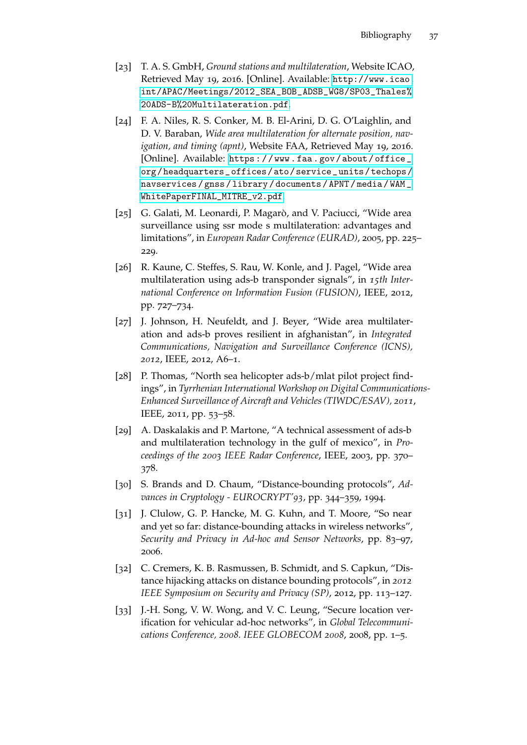- <span id="page-36-0"></span>[23] T. A. S. GmbH, *Ground stations and multilateration*, Website ICAO, Retrieved May 19, 2016. [Online]. Available: [http://www.icao.](http://www.icao.int/APAC/Meetings/2012_SEA_BOB_ADSB_WG8/SP03_Thales%20ADS-B%20Multilateration.pdf) [int/APAC/Meetings/2012\\_SEA\\_BOB\\_ADSB\\_WG8/SP03\\_Thales%](http://www.icao.int/APAC/Meetings/2012_SEA_BOB_ADSB_WG8/SP03_Thales%20ADS-B%20Multilateration.pdf) [20ADS-B%20Multilateration.pdf](http://www.icao.int/APAC/Meetings/2012_SEA_BOB_ADSB_WG8/SP03_Thales%20ADS-B%20Multilateration.pdf).
- <span id="page-36-1"></span>[24] F. A. Niles, R. S. Conker, M. B. El-Arini, D. G. O'Laighlin, and D. V. Baraban, *Wide area multilateration for alternate position, navigation, and timing (apnt)*, Website FAA, Retrieved May 19, 2016. [Online]. Available: [https : / / www . faa . gov / about / office \\_](https://www.faa.gov/about/office_org/headquarters_offices/ato/service_units/techops/navservices/gnss/library/documents/APNT/media/WAM_WhitePaperFINAL_MITRE_v2.pdf) [org/headquarters\\_offices/ato/service\\_units/techops/](https://www.faa.gov/about/office_org/headquarters_offices/ato/service_units/techops/navservices/gnss/library/documents/APNT/media/WAM_WhitePaperFINAL_MITRE_v2.pdf) [navservices / gnss / library / documents / APNT / media / WAM \\_](https://www.faa.gov/about/office_org/headquarters_offices/ato/service_units/techops/navservices/gnss/library/documents/APNT/media/WAM_WhitePaperFINAL_MITRE_v2.pdf) [WhitePaperFINAL\\_MITRE\\_v2.pdf](https://www.faa.gov/about/office_org/headquarters_offices/ato/service_units/techops/navservices/gnss/library/documents/APNT/media/WAM_WhitePaperFINAL_MITRE_v2.pdf).
- <span id="page-36-2"></span>[25] G. Galati, M. Leonardi, P. Magarò, and V. Paciucci, "Wide area surveillance using ssr mode s multilateration: advantages and limitations", in *European Radar Conference (EURAD)*, 2005, pp. 225– 229.
- <span id="page-36-3"></span>[26] R. Kaune, C. Steffes, S. Rau, W. Konle, and J. Pagel, "Wide area multilateration using ads-b transponder signals", in *15th International Conference on Information Fusion (FUSION)*, IEEE, 2012, pp. 727–734.
- <span id="page-36-4"></span>[27] J. Johnson, H. Neufeldt, and J. Beyer, "Wide area multilateration and ads-b proves resilient in afghanistan", in *Integrated Communications, Navigation and Surveillance Conference (ICNS), 2012*, IEEE, 2012, A6–1.
- <span id="page-36-5"></span>[28] P. Thomas, "North sea helicopter ads-b/mlat pilot project findings", in *Tyrrhenian International Workshop on Digital Communications-Enhanced Surveillance of Aircraft and Vehicles (TIWDC/ESAV), 2011*, IEEE, 2011, pp. 53–58.
- <span id="page-36-6"></span>[29] A. Daskalakis and P. Martone, "A technical assessment of ads-b and multilateration technology in the gulf of mexico", in *Proceedings of the 2003 IEEE Radar Conference*, IEEE, 2003, pp. 370– 378.
- <span id="page-36-7"></span>[30] S. Brands and D. Chaum, "Distance-bounding protocols", *Advances in Cryptology - EUROCRYPT'93*, pp. 344–359, 1994.
- <span id="page-36-8"></span>[31] J. Clulow, G. P. Hancke, M. G. Kuhn, and T. Moore, "So near and yet so far: distance-bounding attacks in wireless networks", *Security and Privacy in Ad-hoc and Sensor Networks*, pp. 83–97, 2006.
- <span id="page-36-9"></span>[32] C. Cremers, K. B. Rasmussen, B. Schmidt, and S. Capkun, "Distance hijacking attacks on distance bounding protocols", in *2012 IEEE Symposium on Security and Privacy (SP)*, 2012, pp. 113–127.
- <span id="page-36-10"></span>[33] J.-H. Song, V. W. Wong, and V. C. Leung, "Secure location verification for vehicular ad-hoc networks", in *Global Telecommunications Conference, 2008. IEEE GLOBECOM 2008*, 2008, pp. 1–5.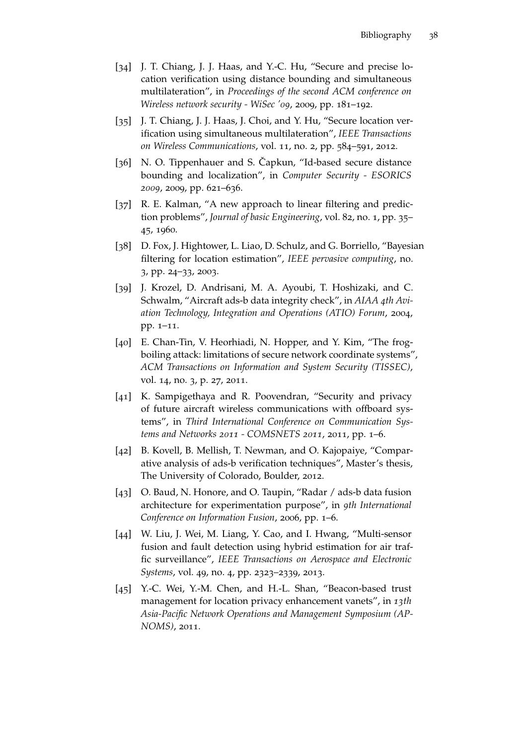- <span id="page-37-0"></span>[34] J. T. Chiang, J. J. Haas, and Y.-C. Hu, "Secure and precise location verification using distance bounding and simultaneous multilateration", in *Proceedings of the second ACM conference on Wireless network security - WiSec '09*, 2009, pp. 181–192.
- <span id="page-37-1"></span>[35] J. T. Chiang, J. J. Haas, J. Choi, and Y. Hu, "Secure location verification using simultaneous multilateration", *IEEE Transactions on Wireless Communications*, vol. 11, no. 2, pp. 584–591, 2012.
- <span id="page-37-2"></span>[36] N. O. Tippenhauer and S. Čapkun, "Id-based secure distance bounding and localization", in *Computer Security - ESORICS 2009*, 2009, pp. 621–636.
- <span id="page-37-3"></span>[37] R. E. Kalman, "A new approach to linear filtering and prediction problems", *Journal of basic Engineering*, vol. 82, no. 1, pp. 35– 45, 1960.
- <span id="page-37-4"></span>[38] D. Fox, J. Hightower, L. Liao, D. Schulz, and G. Borriello, "Bayesian filtering for location estimation", *IEEE pervasive computing*, no. 3, pp. 24–33, 2003.
- <span id="page-37-5"></span>[39] J. Krozel, D. Andrisani, M. A. Ayoubi, T. Hoshizaki, and C. Schwalm, "Aircraft ads-b data integrity check", in *AIAA 4th Aviation Technology, Integration and Operations (ATIO) Forum*, 2004, pp. 1–11.
- <span id="page-37-6"></span>[40] E. Chan-Tin, V. Heorhiadi, N. Hopper, and Y. Kim, "The frogboiling attack: limitations of secure network coordinate systems", *ACM Transactions on Information and System Security (TISSEC)*, vol. 14, no. 3, p. 27, 2011.
- <span id="page-37-7"></span>[41] K. Sampigethaya and R. Poovendran, "Security and privacy of future aircraft wireless communications with offboard systems", in *Third International Conference on Communication Systems and Networks 2011 - COMSNETS 2011*, 2011, pp. 1–6.
- <span id="page-37-8"></span>[42] B. Kovell, B. Mellish, T. Newman, and O. Kajopaiye, "Comparative analysis of ads-b verification techniques", Master's thesis, The University of Colorado, Boulder, 2012.
- <span id="page-37-9"></span>[43] O. Baud, N. Honore, and O. Taupin, "Radar / ads-b data fusion architecture for experimentation purpose", in *9th International Conference on Information Fusion*, 2006, pp. 1–6.
- <span id="page-37-10"></span>[44] W. Liu, J. Wei, M. Liang, Y. Cao, and I. Hwang, "Multi-sensor fusion and fault detection using hybrid estimation for air traffic surveillance", *IEEE Transactions on Aerospace and Electronic Systems*, vol. 49, no. 4, pp. 2323–2339, 2013.
- <span id="page-37-11"></span>[45] Y.-C. Wei, Y.-M. Chen, and H.-L. Shan, "Beacon-based trust management for location privacy enhancement vanets", in *13th Asia-Pacific Network Operations and Management Symposium (AP-NOMS)*, 2011.